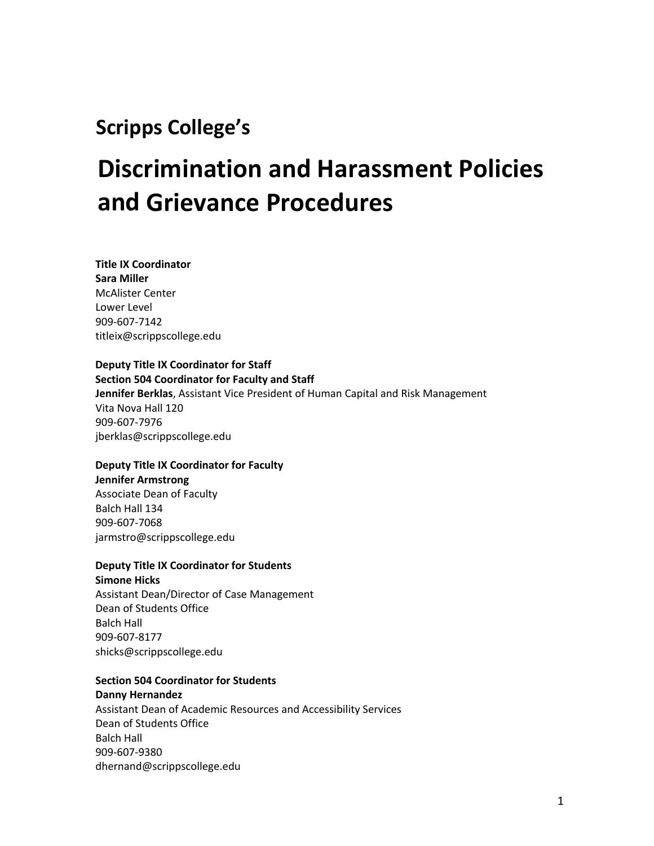# **Scripps College's**

# **Discrimination and Harassment Policies and Grievance Procedures**

**Title IX Coordinator Sara Miller** McAlister Center Lower Level 909-607-7142 titleix@scrippscollege.edu

# **Deputy Title IX Coordinator for Staff Section 504 Coordinator for Faculty and Staff**

**Jennifer Berklas**, Assistant Vice President of Human Capital and Risk Management Vita Nova Hall 120 909-607-7976 jberklas@scrippscollege.edu

# **Deputy Title IX Coordinator for Faculty Jennifer Armstrong** Associate Dean of Faculty

Balch Hall 134 909-607-7068 jarmstro@scrippscollege.edu

# **Deputy Title IX Coordinator for Students**

**Simone Hicks** Assistant Dean/Director of Case Management Dean of Students Office Balch Hall 909-607-8177 shicks@scrippscollege.edu

# **Section 504 Coordinator for Students**

# **Danny Hernandez**

Assistant Dean of Academic Resources and Accessibility Services Dean of Students Office Balch Hall 909-607-9380 dhernand@scrippscollege.edu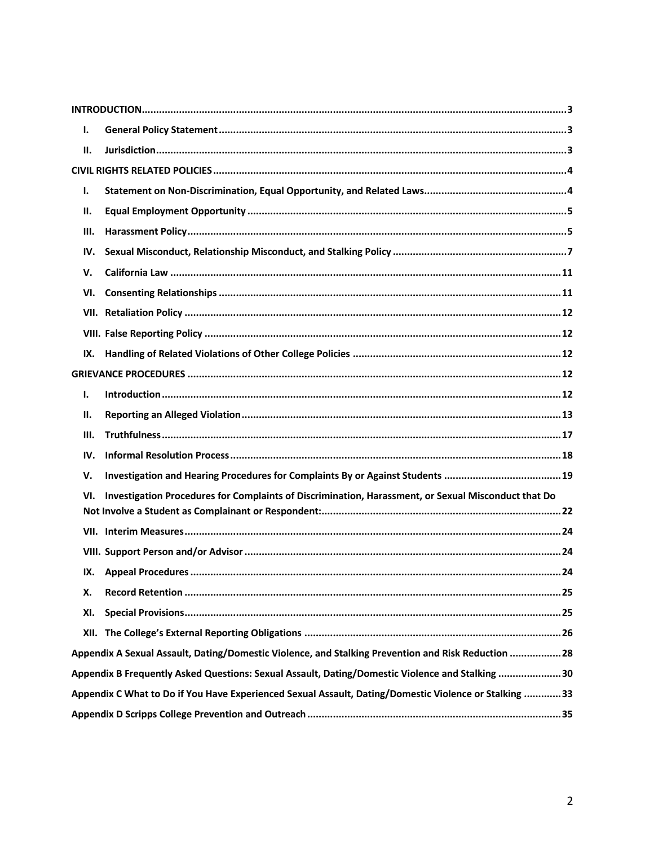| Ι.                                                                                                    |                                                                                                     |  |
|-------------------------------------------------------------------------------------------------------|-----------------------------------------------------------------------------------------------------|--|
| П.                                                                                                    |                                                                                                     |  |
|                                                                                                       |                                                                                                     |  |
| Ι.                                                                                                    |                                                                                                     |  |
| П.                                                                                                    |                                                                                                     |  |
| Ш.                                                                                                    |                                                                                                     |  |
| IV.                                                                                                   |                                                                                                     |  |
| v.                                                                                                    |                                                                                                     |  |
| VI.                                                                                                   |                                                                                                     |  |
|                                                                                                       |                                                                                                     |  |
|                                                                                                       |                                                                                                     |  |
| IX.                                                                                                   |                                                                                                     |  |
|                                                                                                       |                                                                                                     |  |
| Ι.                                                                                                    |                                                                                                     |  |
| н.                                                                                                    |                                                                                                     |  |
| Ш.                                                                                                    |                                                                                                     |  |
| IV.                                                                                                   |                                                                                                     |  |
| V.                                                                                                    | Investigation and Hearing Procedures for Complaints By or Against Students 19                       |  |
| VI.                                                                                                   | Investigation Procedures for Complaints of Discrimination, Harassment, or Sexual Misconduct that Do |  |
|                                                                                                       |                                                                                                     |  |
|                                                                                                       |                                                                                                     |  |
|                                                                                                       |                                                                                                     |  |
|                                                                                                       |                                                                                                     |  |
| х.                                                                                                    |                                                                                                     |  |
| XI.                                                                                                   |                                                                                                     |  |
|                                                                                                       |                                                                                                     |  |
| Appendix A Sexual Assault, Dating/Domestic Violence, and Stalking Prevention and Risk Reduction 28    |                                                                                                     |  |
| Appendix B Frequently Asked Questions: Sexual Assault, Dating/Domestic Violence and Stalking 30       |                                                                                                     |  |
| Appendix C What to Do if You Have Experienced Sexual Assault, Dating/Domestic Violence or Stalking 33 |                                                                                                     |  |
|                                                                                                       |                                                                                                     |  |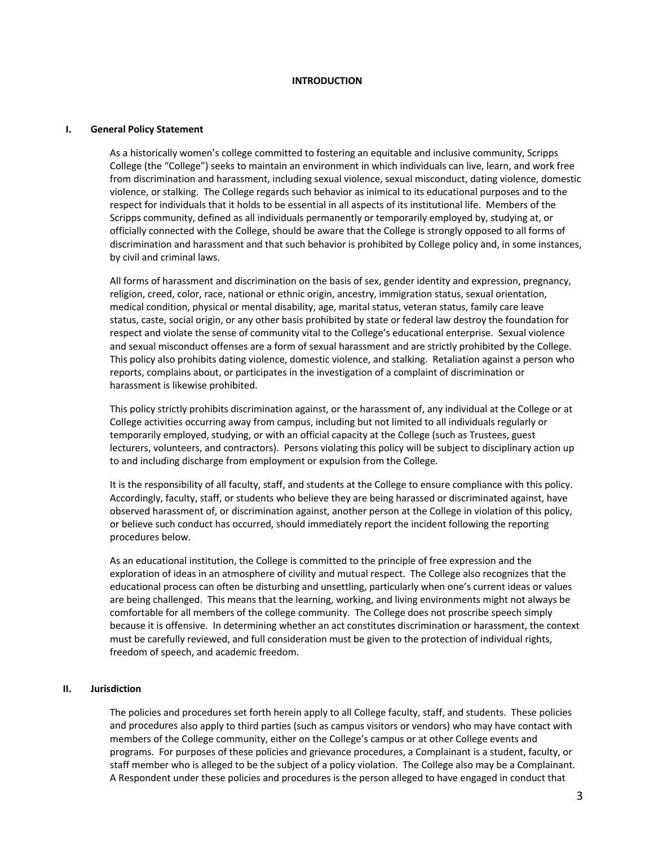#### **INTRODUCTION**

#### **I. General Policy Statement**

As a historically women's college committed to fostering an equitable and inclusive community, Scripps College (the "College") seeks to maintain an environment in which individuals can live, learn, and work free from discrimination and harassment, including sexual violence, sexual misconduct, dating violence, domestic violence, or stalking. The College regards such behavior as inimical to its educational purposes and to the respect for individuals that it holds to be essential in all aspects of its institutional life. Members of the Scripps community, defined as all individuals permanently or temporarily employed by, studying at, or officially connected with the College, should be aware that the College is strongly opposed to all forms of discrimination and harassment and that such behavior is prohibited by College policy and, in some instances, by civil and criminal laws.

All forms of harassment and discrimination on the basis of sex, gender identity and expression, pregnancy, religion, creed, color, race, national or ethnic origin, ancestry, immigration status, sexual orientation, medical condition, physical or mental disability, age, marital status, veteran status, family care leave status, caste, social origin, or any other basis prohibited by state or federal law destroy the foundation for respect and violate the sense of community vital to the College's educational enterprise. Sexual violence and sexual misconduct offenses are a form of sexual harassment and are strictly prohibited by the College. This policy also prohibits dating violence, domestic violence, and stalking. Retaliation against a person who reports, complains about, or participates in the investigation of a complaint of discrimination or harassment is likewise prohibited.

This policy strictly prohibits discrimination against, or the harassment of, any individual at the College or at College activities occurring away from campus, including but not limited to all individuals regularly or temporarily employed, studying, or with an official capacity at the College (such as Trustees, guest lecturers, volunteers, and contractors). Persons violating this policy will be subject to disciplinary action up to and including discharge from employment or expulsion from the College.

It is the responsibility of all faculty, staff, and students at the College to ensure compliance with this policy. Accordingly, faculty, staff, or students who believe they are being harassed or discriminated against, have observed harassment of, or discrimination against, another person at the College in violation of this policy, or believe such conduct has occurred, should immediately report the incident following the reporting procedures below.

As an educational institution, the College is committed to the principle of free expression and the exploration of ideas in an atmosphere of civility and mutual respect. The College also recognizes that the educational process can often be disturbing and unsettling, particularly when one's current ideas or values are being challenged. This means that the learning, working, and living environments might not always be comfortable for all members of the college community. The College does not proscribe speech simply because it is offensive. In determining whether an act constitutes discrimination or harassment, the context must be carefully reviewed, and full consideration must be given to the protection of individual rights, freedom of speech, and academic freedom.

#### **II. Jurisdiction**

The policies and procedures set forth herein apply to all College faculty, staff, and students. These policies and procedures also apply to third parties (such as campus visitors or vendors) who may have contact with members of the College community, either on the College's campus or at other College events and programs. For purposes of these policies and grievance procedures, a Complainant is a student, faculty, or staff member who is alleged to be the subject of a policy violation. The College also may be a Complainant. A Respondent under these policies and procedures is the person alleged to have engaged in conduct that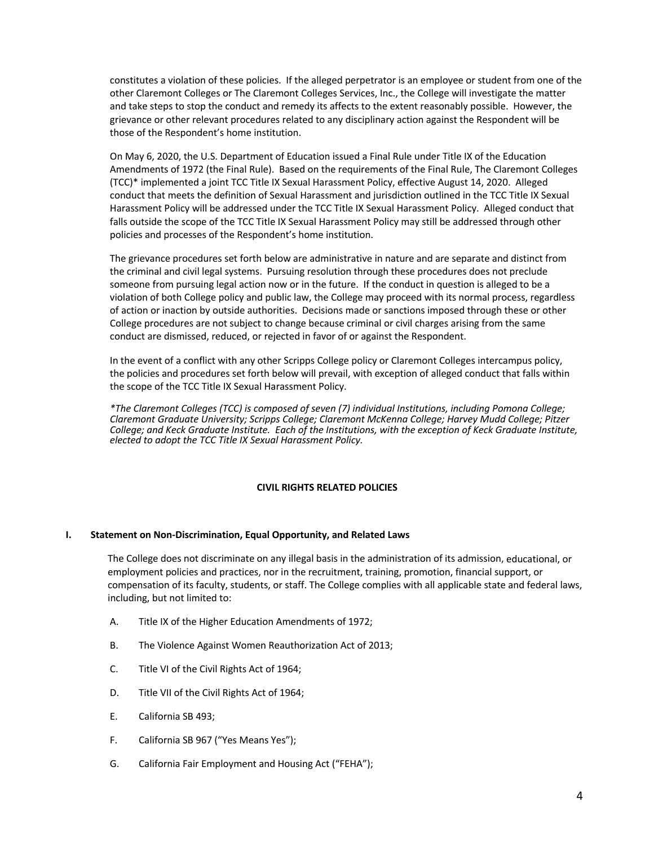constitutes a violation of these policies. If the alleged perpetrator is an employee or student from one of the other Claremont Colleges or The Claremont Colleges Services, Inc., the College will investigate the matter and take steps to stop the conduct and remedy its affects to the extent reasonably possible. However, the grievance or other relevant procedures related to any disciplinary action against the Respondent will be those of the Respondent's home institution.

On May 6, 2020, the U.S. Department of Education issued a Final Rule under Title IX of the Education Amendments of 1972 (the Final Rule). Based on the requirements of the Final Rule, The Claremont Colleges (TCC)\* implemented a joint TCC Title IX Sexual Harassment Policy, effective August 14, 2020. Alleged conduct that meets the definition of Sexual Harassment and jurisdiction outlined in the TCC Title IX Sexual Harassment Policy will be addressed under the TCC Title IX Sexual Harassment Policy. Alleged conduct that falls outside the scope of the TCC Title IX Sexual Harassment Policy may still be addressed through other policies and processes of the Respondent's home institution.

The grievance procedures set forth below are administrative in nature and are separate and distinct from the criminal and civil legal systems. Pursuing resolution through these procedures does not preclude someone from pursuing legal action now or in the future. If the conduct in question is alleged to be a violation of both College policy and public law, the College may proceed with its normal process, regardless of action or inaction by outside authorities. Decisions made or sanctions imposed through these or other College procedures are not subject to change because criminal or civil charges arising from the same conduct are dismissed, reduced, or rejected in favor of or against the Respondent.

In the event of a conflict with any other Scripps College policy or Claremont Colleges intercampus policy, the policies and procedures set forth below will prevail, with exception of alleged conduct that falls within the scope of the TCC Title IX Sexual Harassment Policy.

*\*The Claremont Colleges (TCC) is composed of seven (7) individual Institutions, including Pomona College; Claremont Graduate University; Scripps College; Claremont McKenna College; Harvey Mudd College; Pitzer College; and Keck Graduate Institute. Each of the Institutions, with the exception of Keck Graduate Institute, elected to adopt the TCC Title IX Sexual Harassment Policy.* 

# **CIVIL RIGHTS RELATED POLICIES**

# **I. Statement on Non-Discrimination, Equal Opportunity, and Related Laws**

The College does not discriminate on any illegal basis in the administration of its admission, educational, or employment policies and practices, nor in the recruitment, training, promotion, financial support, or compensation of its faculty, students, or staff. The College complies with all applicable state and federal laws, including, but not limited to:

- A. Title IX of the Higher Education Amendments of 1972;
- B. The Violence Against Women Reauthorization Act of 2013;
- C. Title VI of the Civil Rights Act of 1964;
- D. Title VII of the Civil Rights Act of 1964;
- E. California SB 493;
- F. California SB 967 ("Yes Means Yes");
- G. California Fair Employment and Housing Act ("FEHA");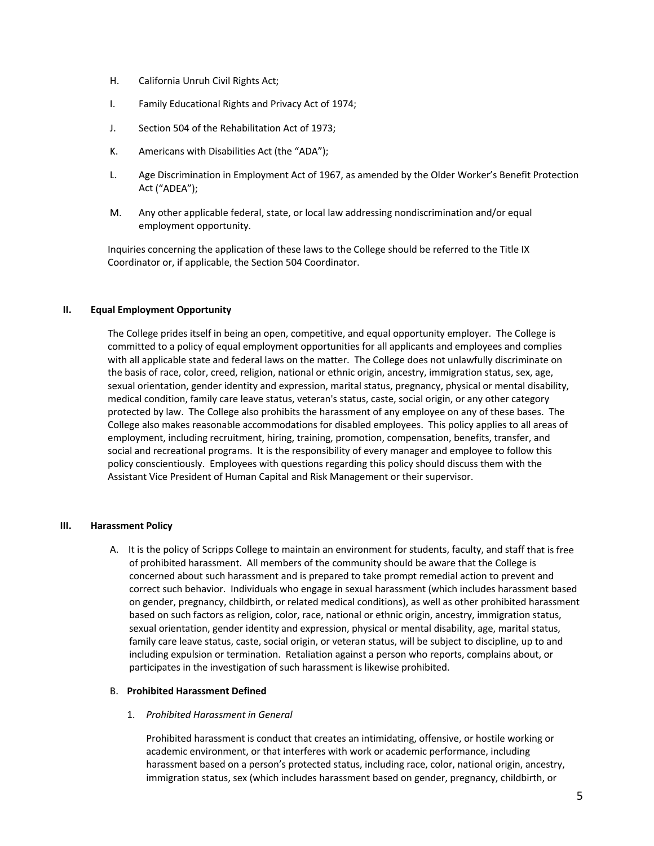- H. California Unruh Civil Rights Act;
- I. Family Educational Rights and Privacy Act of 1974;
- J. Section 504 of the Rehabilitation Act of 1973;
- K. Americans with Disabilities Act (the "ADA");
- L. Age Discrimination in Employment Act of 1967, as amended by the Older Worker's Benefit Protection Act ("ADEA");
- M. Any other applicable federal, state, or local law addressing nondiscrimination and/or equal employment opportunity.

Inquiries concerning the application of these laws to the College should be referred to the Title IX Coordinator or, if applicable, the Section 504 Coordinator.

# **II. Equal Employment Opportunity**

The College prides itself in being an open, competitive, and equal opportunity employer. The College is committed to a policy of equal employment opportunities for all applicants and employees and complies with all applicable state and federal laws on the matter. The College does not unlawfully discriminate on the basis of race, color, creed, religion, national or ethnic origin, ancestry, immigration status, sex, age, sexual orientation, gender identity and expression, marital status, pregnancy, physical or mental disability, medical condition, family care leave status, veteran's status, caste, social origin, or any other category protected by law. The College also prohibits the harassment of any employee on any of these bases. The College also makes reasonable accommodations for disabled employees. This policy applies to all areas of employment, including recruitment, hiring, training, promotion, compensation, benefits, transfer, and social and recreational programs. It is the responsibility of every manager and employee to follow this policy conscientiously. Employees with questions regarding this policy should discuss them with the Assistant Vice President of Human Capital and Risk Management or their supervisor.

#### **III. Harassment Policy**

A. It is the policy of Scripps College to maintain an environment for students, faculty, and staff that is free of prohibited harassment. All members of the community should be aware that the College is concerned about such harassment and is prepared to take prompt remedial action to prevent and correct such behavior. Individuals who engage in sexual harassment (which includes harassment based on gender, pregnancy, childbirth, or related medical conditions), as well as other prohibited harassment based on such factors as religion, color, race, national or ethnic origin, ancestry, immigration status, sexual orientation, gender identity and expression, physical or mental disability, age, marital status, family care leave status, caste, social origin, or veteran status, will be subject to discipline, up to and including expulsion or termination. Retaliation against a person who reports, complains about, or participates in the investigation of such harassment is likewise prohibited.

#### B. **Prohibited Harassment Defined**

1. *Prohibited Harassment in General*

Prohibited harassment is conduct that creates an intimidating, offensive, or hostile working or academic environment, or that interferes with work or academic performance, including harassment based on a person's protected status, including race, color, national origin, ancestry, immigration status, sex (which includes harassment based on gender, pregnancy, childbirth, or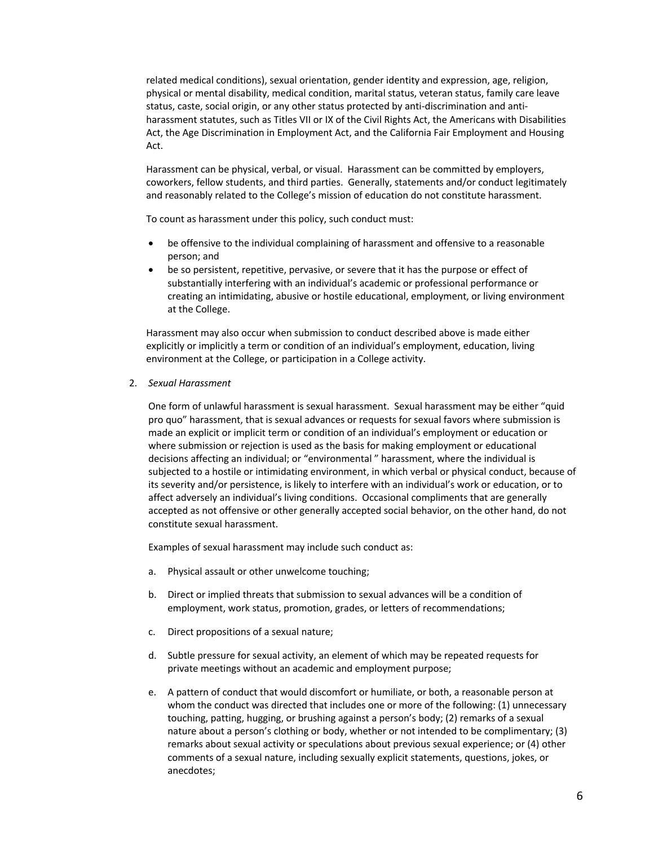related medical conditions), sexual orientation, gender identity and expression, age, religion, physical or mental disability, medical condition, marital status, veteran status, family care leave status, caste, social origin, or any other status protected by anti-discrimination and antiharassment statutes, such as Titles VII or IX of the Civil Rights Act, the Americans with Disabilities Act, the Age Discrimination in Employment Act, and the California Fair Employment and Housing Act.

Harassment can be physical, verbal, or visual. Harassment can be committed by employers, coworkers, fellow students, and third parties. Generally, statements and/or conduct legitimately and reasonably related to the College's mission of education do not constitute harassment.

To count as harassment under this policy, such conduct must:

- be offensive to the individual complaining of harassment and offensive to a reasonable person; and
- be so persistent, repetitive, pervasive, or severe that it has the purpose or effect of substantially interfering with an individual's academic or professional performance or creating an intimidating, abusive or hostile educational, employment, or living environment at the College.

Harassment may also occur when submission to conduct described above is made either explicitly or implicitly a term or condition of an individual's employment, education, living environment at the College, or participation in a College activity.

2. *Sexual Harassment*

One form of unlawful harassment is sexual harassment. Sexual harassment may be either "quid pro quo" harassment, that is sexual advances or requests for sexual favors where submission is made an explicit or implicit term or condition of an individual's employment or education or where submission or rejection is used as the basis for making employment or educational decisions affecting an individual; or "environmental " harassment, where the individual is subjected to a hostile or intimidating environment, in which verbal or physical conduct, because of its severity and/or persistence, is likely to interfere with an individual's work or education, or to affect adversely an individual's living conditions. Occasional compliments that are generally accepted as not offensive or other generally accepted social behavior, on the other hand, do not constitute sexual harassment.

Examples of sexual harassment may include such conduct as:

- a. Physical assault or other unwelcome touching;
- b. Direct or implied threats that submission to sexual advances will be a condition of employment, work status, promotion, grades, or letters of recommendations;
- c. Direct propositions of a sexual nature;
- d. Subtle pressure for sexual activity, an element of which may be repeated requests for private meetings without an academic and employment purpose;
- e. A pattern of conduct that would discomfort or humiliate, or both, a reasonable person at whom the conduct was directed that includes one or more of the following: (1) unnecessary touching, patting, hugging, or brushing against a person's body; (2) remarks of a sexual nature about a person's clothing or body, whether or not intended to be complimentary; (3) remarks about sexual activity or speculations about previous sexual experience; or (4) other comments of a sexual nature, including sexually explicit statements, questions, jokes, or anecdotes;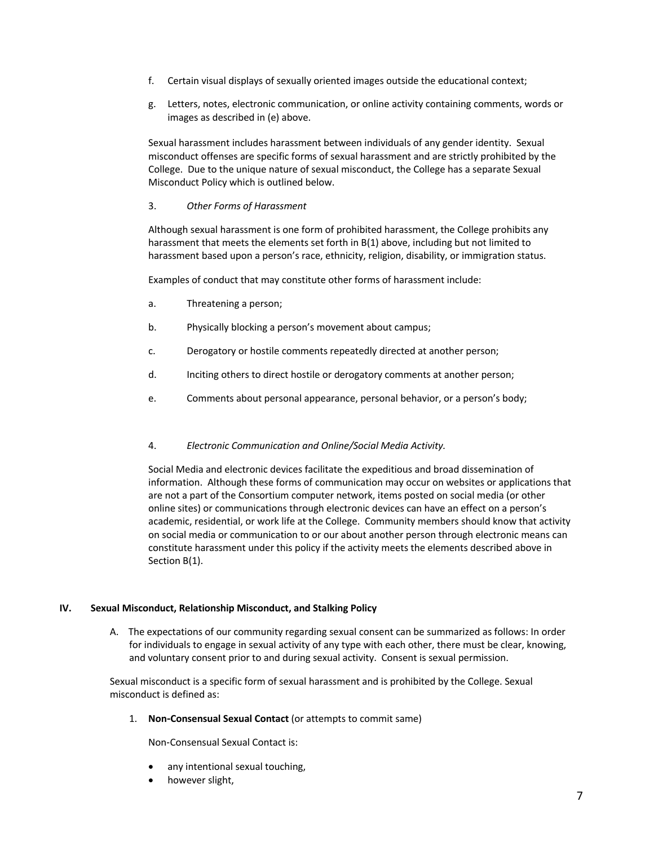- f. Certain visual displays of sexually oriented images outside the educational context;
- g. Letters, notes, electronic communication, or online activity containing comments, words or images as described in (e) above.

Sexual harassment includes harassment between individuals of any gender identity. Sexual misconduct offenses are specific forms of sexual harassment and are strictly prohibited by the College. Due to the unique nature of sexual misconduct, the College has a separate Sexual Misconduct Policy which is outlined below.

# 3. *Other Forms of Harassment*

Although sexual harassment is one form of prohibited harassment, the College prohibits any harassment that meets the elements set forth in B(1) above, including but not limited to harassment based upon a person's race, ethnicity, religion, disability, or immigration status.

Examples of conduct that may constitute other forms of harassment include:

- a. Threatening a person;
- b. Physically blocking a person's movement about campus;
- c. Derogatory or hostile comments repeatedly directed at another person;
- d. Inciting others to direct hostile or derogatory comments at another person;
- e. Comments about personal appearance, personal behavior, or a person's body;

# 4. *Electronic Communication and Online/Social Media Activity.*

Social Media and electronic devices facilitate the expeditious and broad dissemination of information. Although these forms of communication may occur on websites or applications that are not a part of the Consortium computer network, items posted on social media (or other online sites) or communications through electronic devices can have an effect on a person's academic, residential, or work life at the College. Community members should know that activity on social media or communication to or our about another person through electronic means can constitute harassment under this policy if the activity meets the elements described above in Section B(1).

# **IV. Sexual Misconduct, Relationship Misconduct, and Stalking Policy**

A. The expectations of our community regarding sexual consent can be summarized as follows: In order for individuals to engage in sexual activity of any type with each other, there must be clear, knowing, and voluntary consent prior to and during sexual activity. Consent is sexual permission.

Sexual misconduct is a specific form of sexual harassment and is prohibited by the College. Sexual misconduct is defined as:

1. **Non**-**Consensual Sexual Contact** (or attempts to commit same)

Non-Consensual Sexual Contact is:

- any intentional sexual touching,
- however slight,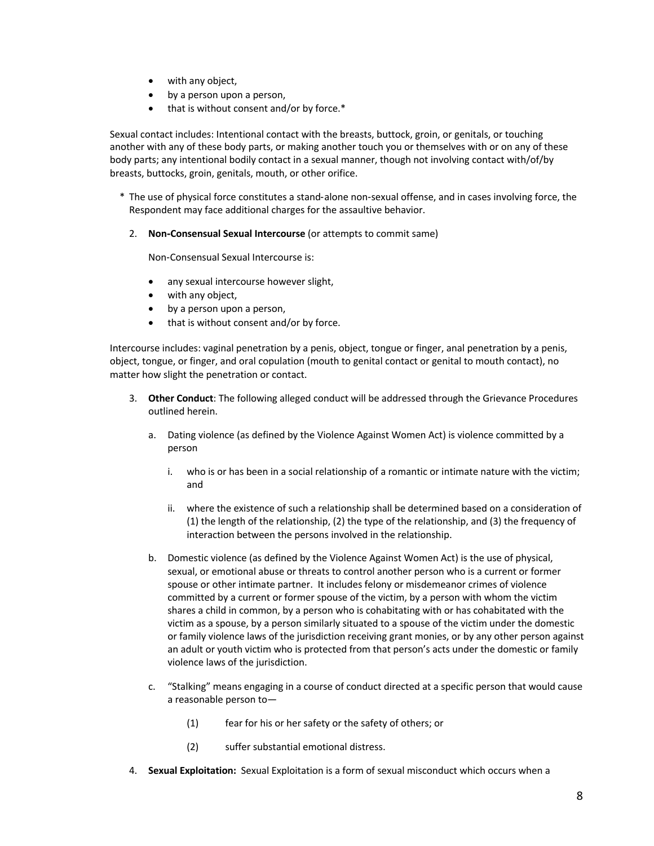- with any object,
- by a person upon a person,
- that is without consent and/or by force.\*

Sexual contact includes: Intentional contact with the breasts, buttock, groin, or genitals, or touching another with any of these body parts, or making another touch you or themselves with or on any of these body parts; any intentional bodily contact in a sexual manner, though not involving contact with/of/by breasts, buttocks, groin, genitals, mouth, or other orifice.

- \* The use of physical force constitutes a stand-alone non-sexual offense, and in cases involving force, the Respondent may face additional charges for the assaultive behavior.
	- 2. **Non**-**Consensual Sexual Intercourse** (or attempts to commit same)

Non-Consensual Sexual Intercourse is:

- any sexual intercourse however slight,
- with any object,
- by a person upon a person,
- that is without consent and/or by force.

Intercourse includes: vaginal penetration by a penis, object, tongue or finger, anal penetration by a penis, object, tongue, or finger, and oral copulation (mouth to genital contact or genital to mouth contact), no matter how slight the penetration or contact.

- 3. **Other Conduct**: The following alleged conduct will be addressed through the Grievance Procedures outlined herein.
	- a. Dating violence (as defined by the Violence Against Women Act) is violence committed by a person
		- i. who is or has been in a social relationship of a romantic or intimate nature with the victim; and
		- ii. where the existence of such a relationship shall be determined based on a consideration of (1) the length of the relationship, (2) the type of the relationship, and (3) the frequency of interaction between the persons involved in the relationship.
	- b. Domestic violence (as defined by the Violence Against Women Act) is the use of physical, sexual, or emotional abuse or threats to control another person who is a current or former spouse or other intimate partner. It includes felony or misdemeanor crimes of violence committed by a current or former spouse of the victim, by a person with whom the victim shares a child in common, by a person who is cohabitating with or has cohabitated with the victim as a spouse, by a person similarly situated to a spouse of the victim under the domestic or family violence laws of the jurisdiction receiving grant monies, or by any other person against an adult or youth victim who is protected from that person's acts under the domestic or family violence laws of the jurisdiction.
	- c. "Stalking" means engaging in a course of conduct directed at a specific person that would cause a reasonable person to—
		- (1) fear for his or her safety or the safety of others; or
		- (2) suffer substantial emotional distress.
- 4. **Sexual Exploitation:** Sexual Exploitation is a form of sexual misconduct which occurs when a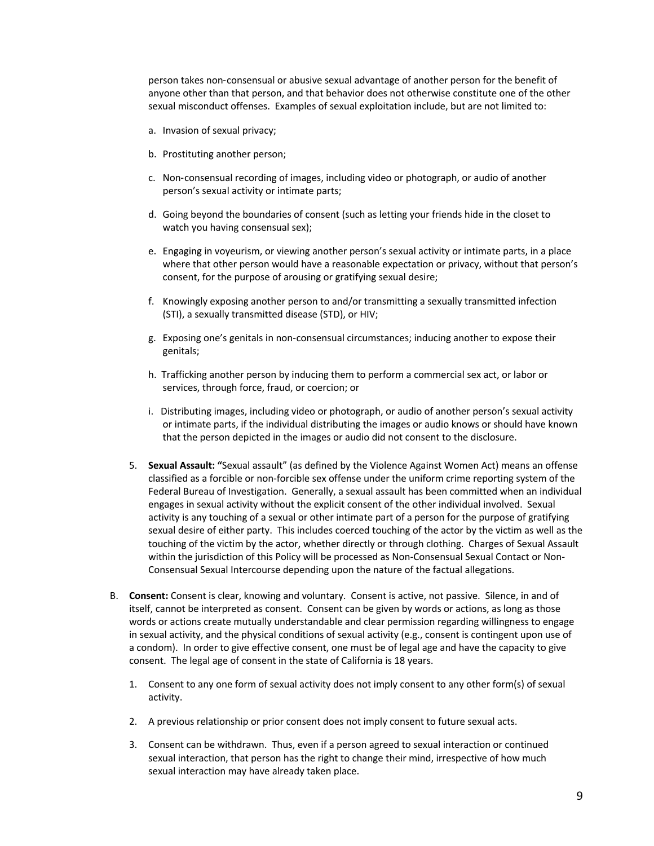person takes non-consensual or abusive sexual advantage of another person for the benefit of anyone other than that person, and that behavior does not otherwise constitute one of the other sexual misconduct offenses. Examples of sexual exploitation include, but are not limited to:

- a. Invasion of sexual privacy;
- b. Prostituting another person;
- c. Non-consensual recording of images, including video or photograph, or audio of another person's sexual activity or intimate parts;
- d. Going beyond the boundaries of consent (such as letting your friends hide in the closet to watch you having consensual sex);
- e. Engaging in voyeurism, or viewing another person's sexual activity or intimate parts, in a place where that other person would have a reasonable expectation or privacy, without that person's consent, for the purpose of arousing or gratifying sexual desire;
- f. Knowingly exposing another person to and/or transmitting a sexually transmitted infection (STI), a sexually transmitted disease (STD), or HIV;
- g. Exposing one's genitals in non-consensual circumstances; inducing another to expose their genitals;
- h. Trafficking another person by inducing them to perform a commercial sex act, or labor or services, through force, fraud, or coercion; or
- i. Distributing images, including video or photograph, or audio of another person's sexual activity or intimate parts, if the individual distributing the images or audio knows or should have known that the person depicted in the images or audio did not consent to the disclosure.
- 5. **Sexual Assault: "**Sexual assault" (as defined by the Violence Against Women Act) means an offense classified as a forcible or non-forcible sex offense under the uniform crime reporting system of the Federal Bureau of Investigation. Generally, a sexual assault has been committed when an individual engages in sexual activity without the explicit consent of the other individual involved. Sexual activity is any touching of a sexual or other intimate part of a person for the purpose of gratifying sexual desire of either party. This includes coerced touching of the actor by the victim as well as the touching of the victim by the actor, whether directly or through clothing. Charges of Sexual Assault within the jurisdiction of this Policy will be processed as Non-Consensual Sexual Contact or Non-Consensual Sexual Intercourse depending upon the nature of the factual allegations.
- B. **Consent:** Consent is clear, knowing and voluntary. Consent is active, not passive. Silence, in and of itself, cannot be interpreted as consent. Consent can be given by words or actions, as long as those words or actions create mutually understandable and clear permission regarding willingness to engage in sexual activity, and the physical conditions of sexual activity (e.g., consent is contingent upon use of a condom). In order to give effective consent, one must be of legal age and have the capacity to give consent. The legal age of consent in the state of California is 18 years.
	- 1. Consent to any one form of sexual activity does not imply consent to any other form(s) of sexual activity.
	- 2. A previous relationship or prior consent does not imply consent to future sexual acts.
	- 3. Consent can be withdrawn. Thus, even if a person agreed to sexual interaction or continued sexual interaction, that person has the right to change their mind, irrespective of how much sexual interaction may have already taken place.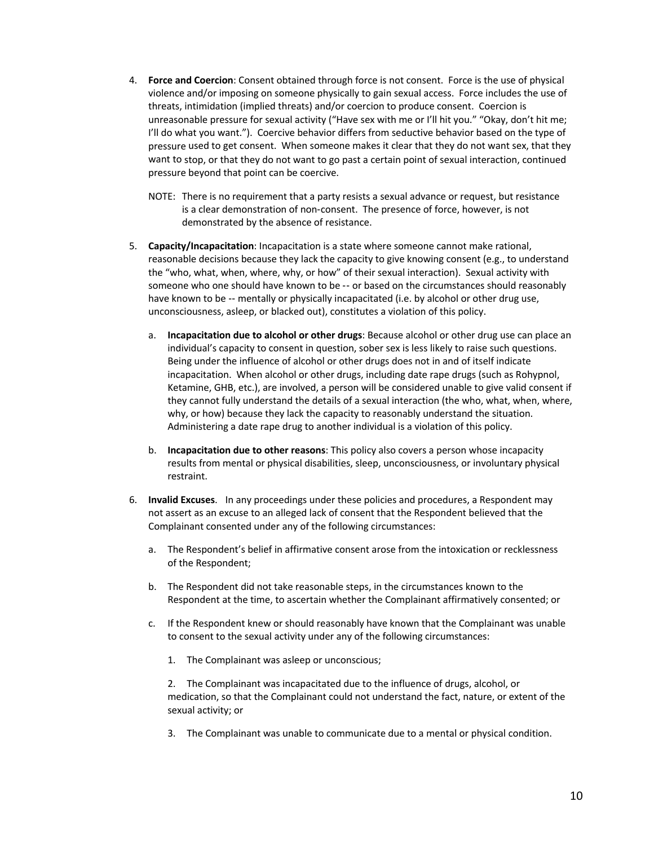- 4. **Force and Coercion**: Consent obtained through force is not consent. Force is the use of physical violence and/or imposing on someone physically to gain sexual access. Force includes the use of threats, intimidation (implied threats) and/or coercion to produce consent. Coercion is unreasonable pressure for sexual activity ("Have sex with me or I'll hit you." "Okay, don't hit me; I'll do what you want."). Coercive behavior differs from seductive behavior based on the type of pressure used to get consent. When someone makes it clear that they do not want sex, that they want to stop, or that they do not want to go past a certain point of sexual interaction, continued pressure beyond that point can be coercive.
	- NOTE: There is no requirement that a party resists a sexual advance or request, but resistance is a clear demonstration of non-consent. The presence of force, however, is not demonstrated by the absence of resistance.
- 5. **Capacity/Incapacitation**: Incapacitation is a state where someone cannot make rational, reasonable decisions because they lack the capacity to give knowing consent (e.g., to understand the "who, what, when, where, why, or how" of their sexual interaction). Sexual activity with someone who one should have known to be -- or based on the circumstances should reasonably have known to be -- mentally or physically incapacitated (i.e. by alcohol or other drug use, unconsciousness, asleep, or blacked out), constitutes a violation of this policy.
	- a. **Incapacitation due to alcohol or other drugs**: Because alcohol or other drug use can place an individual's capacity to consent in question, sober sex is less likely to raise such questions. Being under the influence of alcohol or other drugs does not in and of itself indicate incapacitation. When alcohol or other drugs, including date rape drugs (such as Rohypnol, Ketamine, GHB, etc.), are involved, a person will be considered unable to give valid consent if they cannot fully understand the details of a sexual interaction (the who, what, when, where, why, or how) because they lack the capacity to reasonably understand the situation. Administering a date rape drug to another individual is a violation of this policy.
	- b. **Incapacitation due to other reasons**: This policy also covers a person whose incapacity results from mental or physical disabilities, sleep, unconsciousness, or involuntary physical restraint.
- 6. **Invalid Excuses**. In any proceedings under these policies and procedures, a Respondent may not assert as an excuse to an alleged lack of consent that the Respondent believed that the Complainant consented under any of the following circumstances:
	- a. The Respondent's belief in affirmative consent arose from the intoxication or recklessness of the Respondent;
	- b. The Respondent did not take reasonable steps, in the circumstances known to the Respondent at the time, to ascertain whether the Complainant affirmatively consented; or
	- c. If the Respondent knew or should reasonably have known that the Complainant was unable to consent to the sexual activity under any of the following circumstances:
		- 1. The Complainant was asleep or unconscious;

2. The Complainant was incapacitated due to the influence of drugs, alcohol, or medication, so that the Complainant could not understand the fact, nature, or extent of the sexual activity; or

3. The Complainant was unable to communicate due to a mental or physical condition.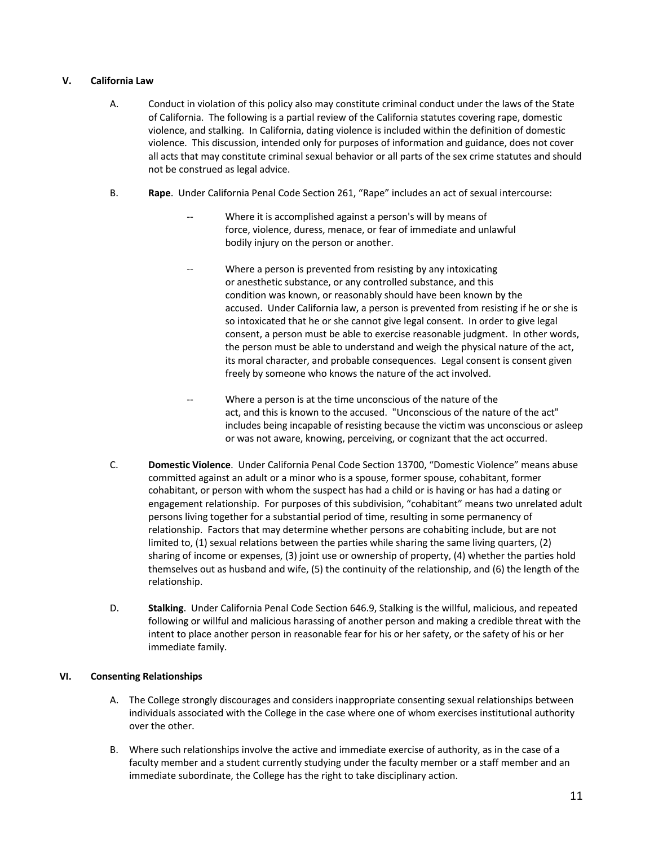# **V. California Law**

- A. Conduct in violation of this policy also may constitute criminal conduct under the laws of the State of California. The following is a partial review of the California statutes covering rape, domestic violence, and stalking. In California, dating violence is included within the definition of domestic violence. This discussion, intended only for purposes of information and guidance, does not cover all acts that may constitute criminal sexual behavior or all parts of the sex crime statutes and should not be construed as legal advice.
- B. **Rape**. Under California Penal Code Section 261, "Rape" includes an act of sexual intercourse:
	- Where it is accomplished against a person's will by means of force, violence, duress, menace, or fear of immediate and unlawful bodily injury on the person or another.
	- Where a person is prevented from resisting by any intoxicating or anesthetic substance, or any controlled substance, and this condition was known, or reasonably should have been known by the accused. Under California law, a person is prevented from resisting if he or she is so intoxicated that he or she cannot give legal consent. In order to give legal consent, a person must be able to exercise reasonable judgment. In other words, the person must be able to understand and weigh the physical nature of the act, its moral character, and probable consequences. Legal consent is consent given freely by someone who knows the nature of the act involved.
	- Where a person is at the time unconscious of the nature of the act, and this is known to the accused. "Unconscious of the nature of the act" includes being incapable of resisting because the victim was unconscious or asleep or was not aware, knowing, perceiving, or cognizant that the act occurred.
- C. **Domestic Violence**. Under California Penal Code Section 13700, "Domestic Violence" means abuse committed against an adult or a minor who is a spouse, former spouse, cohabitant, former cohabitant, or person with whom the suspect has had a child or is having or has had a dating or engagement relationship. For purposes of this subdivision, "cohabitant" means two unrelated adult persons living together for a substantial period of time, resulting in some permanency of relationship. Factors that may determine whether persons are cohabiting include, but are not limited to, (1) sexual relations between the parties while sharing the same living quarters, (2) sharing of income or expenses, (3) joint use or ownership of property, (4) whether the parties hold themselves out as husband and wife, (5) the continuity of the relationship, and (6) the length of the relationship.
- D. **Stalking**. Under California Penal Code Section 646.9, Stalking is the willful, malicious, and repeated following or willful and malicious harassing of another person and making a credible threat with the intent to place another person in reasonable fear for his or her safety, or the safety of his or her immediate family.

# **VI. Consenting Relationships**

- A. The College strongly discourages and considers inappropriate consenting sexual relationships between individuals associated with the College in the case where one of whom exercises institutional authority over the other.
- B. Where such relationships involve the active and immediate exercise of authority, as in the case of a faculty member and a student currently studying under the faculty member or a staff member and an immediate subordinate, the College has the right to take disciplinary action.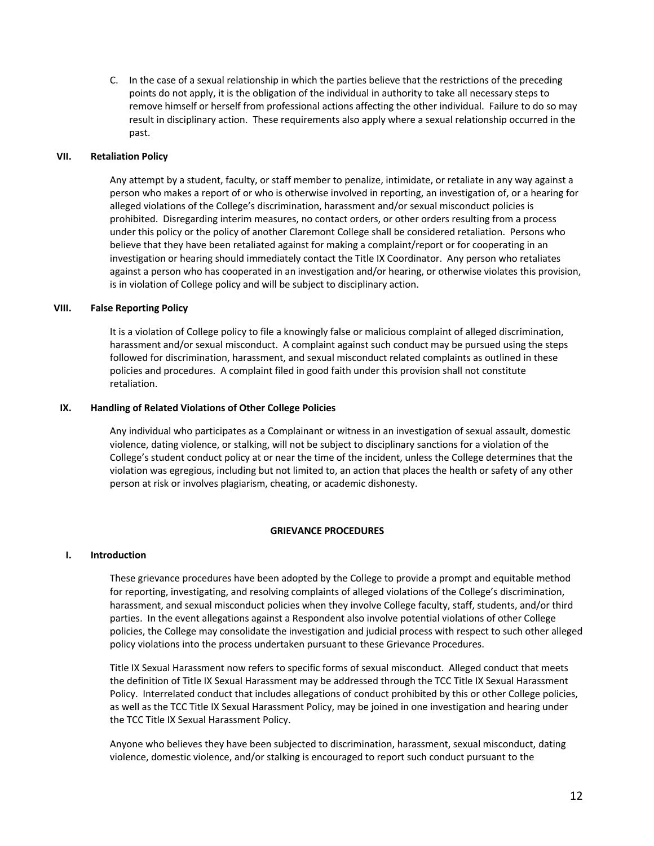C. In the case of a sexual relationship in which the parties believe that the restrictions of the preceding points do not apply, it is the obligation of the individual in authority to take all necessary steps to remove himself or herself from professional actions affecting the other individual. Failure to do so may result in disciplinary action. These requirements also apply where a sexual relationship occurred in the past.

# **VII. Retaliation Policy**

Any attempt by a student, faculty, or staff member to penalize, intimidate, or retaliate in any way against a person who makes a report of or who is otherwise involved in reporting, an investigation of, or a hearing for alleged violations of the College's discrimination, harassment and/or sexual misconduct policies is prohibited. Disregarding interim measures, no contact orders, or other orders resulting from a process under this policy or the policy of another Claremont College shall be considered retaliation. Persons who believe that they have been retaliated against for making a complaint/report or for cooperating in an investigation or hearing should immediately contact the Title IX Coordinator. Any person who retaliates against a person who has cooperated in an investigation and/or hearing, or otherwise violates this provision, is in violation of College policy and will be subject to disciplinary action.

# **VIII. False Reporting Policy**

It is a violation of College policy to file a knowingly false or malicious complaint of alleged discrimination, harassment and/or sexual misconduct. A complaint against such conduct may be pursued using the steps followed for discrimination, harassment, and sexual misconduct related complaints as outlined in these policies and procedures. A complaint filed in good faith under this provision shall not constitute retaliation.

# **IX. Handling of Related Violations of Other College Policies**

Any individual who participates as a Complainant or witness in an investigation of sexual assault, domestic violence, dating violence, or stalking, will not be subject to disciplinary sanctions for a violation of the College's student conduct policy at or near the time of the incident, unless the College determines that the violation was egregious, including but not limited to, an action that places the health or safety of any other person at risk or involves plagiarism, cheating, or academic dishonesty.

#### **GRIEVANCE PROCEDURES**

#### **I. Introduction**

These grievance procedures have been adopted by the College to provide a prompt and equitable method for reporting, investigating, and resolving complaints of alleged violations of the College's discrimination, harassment, and sexual misconduct policies when they involve College faculty, staff, students, and/or third parties. In the event allegations against a Respondent also involve potential violations of other College policies, the College may consolidate the investigation and judicial process with respect to such other alleged policy violations into the process undertaken pursuant to these Grievance Procedures.

Title IX Sexual Harassment now refers to specific forms of sexual misconduct. Alleged conduct that meets the definition of Title IX Sexual Harassment may be addressed through the TCC Title IX Sexual Harassment Policy. Interrelated conduct that includes allegations of conduct prohibited by this or other College policies, as well as the TCC Title IX Sexual Harassment Policy, may be joined in one investigation and hearing under the TCC Title IX Sexual Harassment Policy.

Anyone who believes they have been subjected to discrimination, harassment, sexual misconduct, dating violence, domestic violence, and/or stalking is encouraged to report such conduct pursuant to the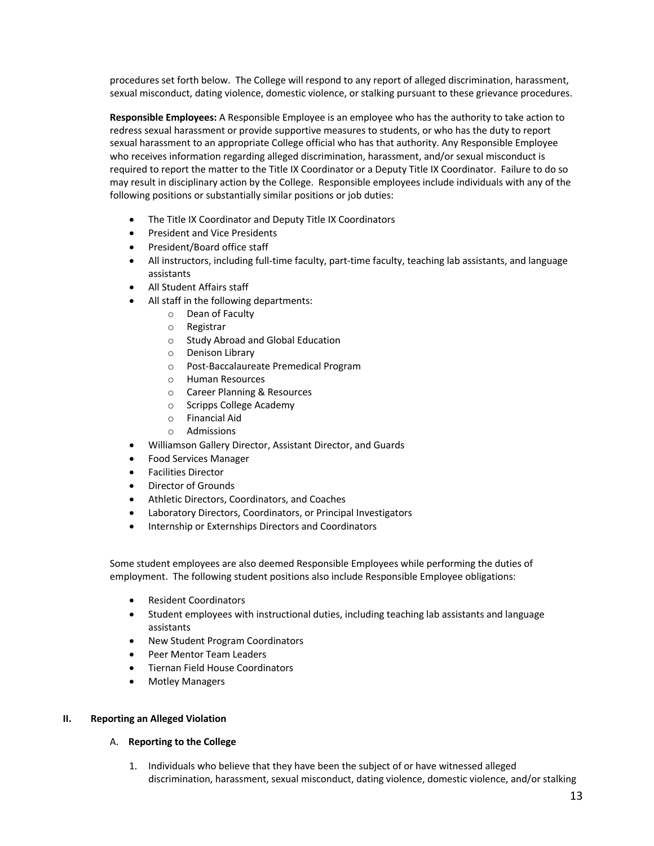procedures set forth below. The College will respond to any report of alleged discrimination, harassment, sexual misconduct, dating violence, domestic violence, or stalking pursuant to these grievance procedures.

**Responsible Employees:** A Responsible Employee is an employee who has the authority to take action to redress sexual harassment or provide supportive measures to students, or who has the duty to report sexual harassment to an appropriate College official who has that authority. Any Responsible Employee who receives information regarding alleged discrimination, harassment, and/or sexual misconduct is required to report the matter to the Title IX Coordinator or a Deputy Title IX Coordinator. Failure to do so may result in disciplinary action by the College. Responsible employees include individuals with any of the following positions or substantially similar positions or job duties:

- The Title IX Coordinator and Deputy Title IX Coordinators
- President and Vice Presidents
- President/Board office staff
- All instructors, including full-time faculty, part-time faculty, teaching lab assistants, and language assistants
- All Student Affairs staff
- All staff in the following departments:
	- o Dean of Faculty
	- o Registrar
	- o Study Abroad and Global Education
	- o Denison Library
	- Post-Baccalaureate Premedical Program
	- o Human Resources
	- o Career Planning & Resources
	- o Scripps College Academy
	- o Financial Aid
	- o Admissions
- Williamson Gallery Director, Assistant Director, and Guards
- Food Services Manager
- Facilities Director
- Director of Grounds
- Athletic Directors, Coordinators, and Coaches
- Laboratory Directors, Coordinators, or Principal Investigators
- Internship or Externships Directors and Coordinators

Some student employees are also deemed Responsible Employees while performing the duties of employment. The following student positions also include Responsible Employee obligations:

- Resident Coordinators
- Student employees with instructional duties, including teaching lab assistants and language assistants
- New Student Program Coordinators
- Peer Mentor Team Leaders
- Tiernan Field House Coordinators
- Motley Managers

# **II. Reporting an Alleged Violation**

#### A. **Reporting to the College**

1. Individuals who believe that they have been the subject of or have witnessed alleged discrimination, harassment, sexual misconduct, dating violence, domestic violence, and/or stalking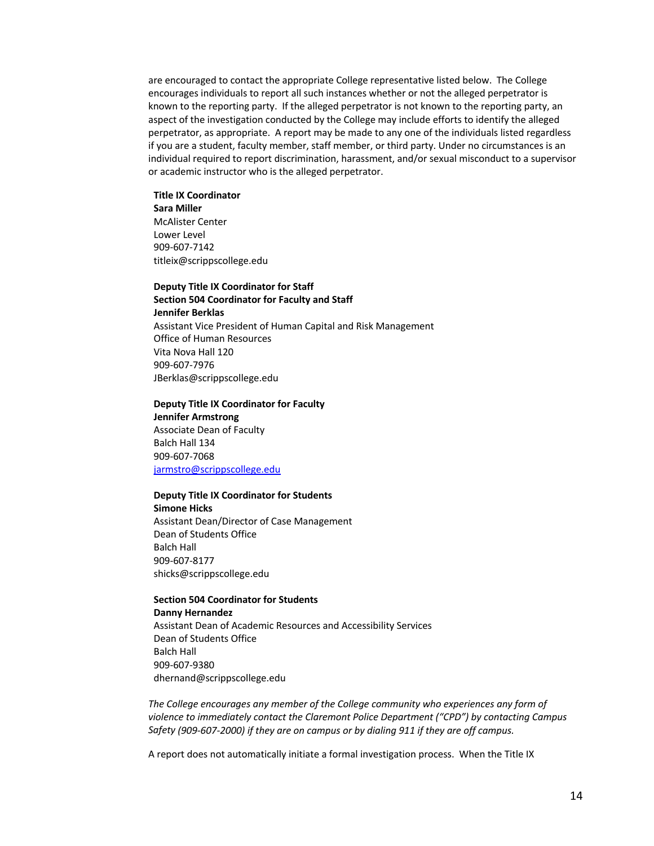are encouraged to contact the appropriate College representative listed below. The College encourages individuals to report all such instances whether or not the alleged perpetrator is known to the reporting party. If the alleged perpetrator is not known to the reporting party, an aspect of the investigation conducted by the College may include efforts to identify the alleged perpetrator, as appropriate. A report may be made to any one of the individuals listed regardless if you are a student, faculty member, staff member, or third party. Under no circumstances is an individual required to report discrimination, harassment, and/or sexual misconduct to a supervisor or academic instructor who is the alleged perpetrator.

# **Title IX Coordinator Sara Miller** McAlister Center Lower Level

909-607-7142 titleix@scrippscollege.edu

# **Deputy Title IX Coordinator for Staff Section 504 Coordinator for Faculty and Staff**

**Jennifer Berklas** Assistant Vice President of Human Capital and Risk Management Office of Human Resources Vita Nova Hall 120 909-607-7976 JBerklas@scrippscollege.edu

# **Deputy Title IX Coordinator for Faculty**

**Jennifer Armstrong** Associate Dean of Faculty Balch Hall 134 909-607-7068 jarmstro@scrippscollege.edu

# **Deputy Title IX Coordinator for Students**

**Simone Hicks** Assistant Dean/Director of Case Management Dean of Students Office Balch Hall 909-607-8177 shicks@scrippscollege.edu

# **Section 504 Coordinator for Students**

**Danny Hernandez** Assistant Dean of Academic Resources and Accessibility Services Dean of Students Office Balch Hall 909-607-9380 dhernand@scrippscollege.edu

The College encourages any member of the College community who experiences any form of *violence to immediately contact the Claremont Police Department ("CPD") by contacting Campus Safety (909-607-2000) if they are on campus or by dialing 911 if they are off campus.* 

A report does not automatically initiate a formal investigation process. When the Title IX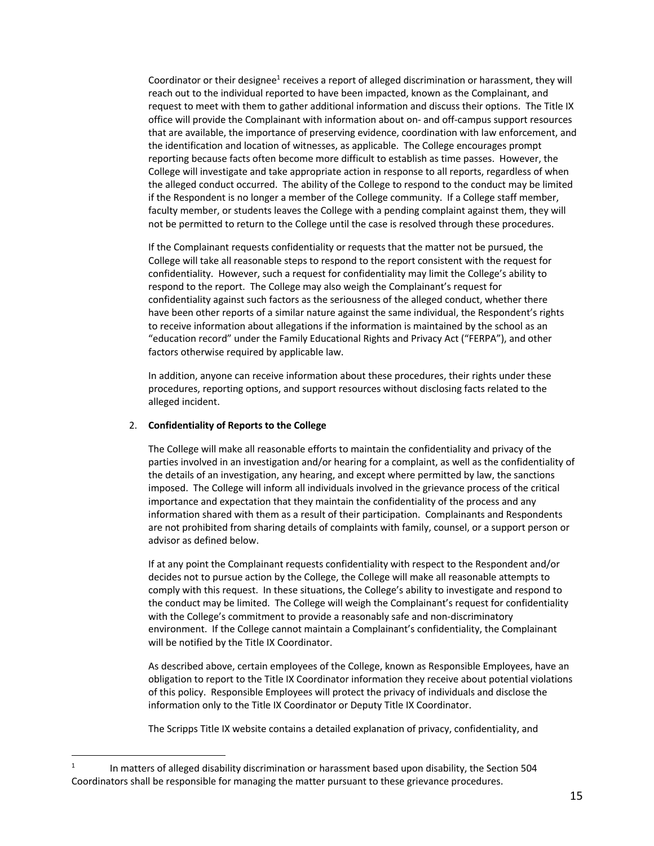Coordinator or their designee<sup>1</sup> receives a report of alleged discrimination or harassment, they will reach out to the individual reported to have been impacted, known as the Complainant, and request to meet with them to gather additional information and discuss their options. The Title IX office will provide the Complainant with information about on- and off-campus support resources that are available, the importance of preserving evidence, coordination with law enforcement, and the identification and location of witnesses, as applicable. The College encourages prompt reporting because facts often become more difficult to establish as time passes. However, the College will investigate and take appropriate action in response to all reports, regardless of when the alleged conduct occurred. The ability of the College to respond to the conduct may be limited if the Respondent is no longer a member of the College community. If a College staff member, faculty member, or students leaves the College with a pending complaint against them, they will not be permitted to return to the College until the case is resolved through these procedures.

If the Complainant requests confidentiality or requests that the matter not be pursued, the College will take all reasonable steps to respond to the report consistent with the request for confidentiality. However, such a request for confidentiality may limit the College's ability to respond to the report. The College may also weigh the Complainant's request for confidentiality against such factors as the seriousness of the alleged conduct, whether there have been other reports of a similar nature against the same individual, the Respondent's rights to receive information about allegations if the information is maintained by the school as an "education record" under the Family Educational Rights and Privacy Act ("FERPA"), and other factors otherwise required by applicable law.

In addition, anyone can receive information about these procedures, their rights under these procedures, reporting options, and support resources without disclosing facts related to the alleged incident.

#### 2. **Confidentiality of Reports to the College**

The College will make all reasonable efforts to maintain the confidentiality and privacy of the parties involved in an investigation and/or hearing for a complaint, as well as the confidentiality of the details of an investigation, any hearing, and except where permitted by law, the sanctions imposed. The College will inform all individuals involved in the grievance process of the critical importance and expectation that they maintain the confidentiality of the process and any information shared with them as a result of their participation. Complainants and Respondents are not prohibited from sharing details of complaints with family, counsel, or a support person or advisor as defined below.

If at any point the Complainant requests confidentiality with respect to the Respondent and/or decides not to pursue action by the College, the College will make all reasonable attempts to comply with this request. In these situations, the College's ability to investigate and respond to the conduct may be limited. The College will weigh the Complainant's request for confidentiality with the College's commitment to provide a reasonably safe and non-discriminatory environment. If the College cannot maintain a Complainant's confidentiality, the Complainant will be notified by the Title IX Coordinator.

As described above, certain employees of the College, known as Responsible Employees, have an obligation to report to the Title IX Coordinator information they receive about potential violations of this policy. Responsible Employees will protect the privacy of individuals and disclose the information only to the Title IX Coordinator or Deputy Title IX Coordinator.

The Scripps Title IX website contains a detailed explanation of privacy, confidentiality, and

<sup>&</sup>lt;sup>1</sup> In matters of alleged disability discrimination or harassment based upon disability, the Section 504 Coordinators shall be responsible for managing the matter pursuant to these grievance procedures.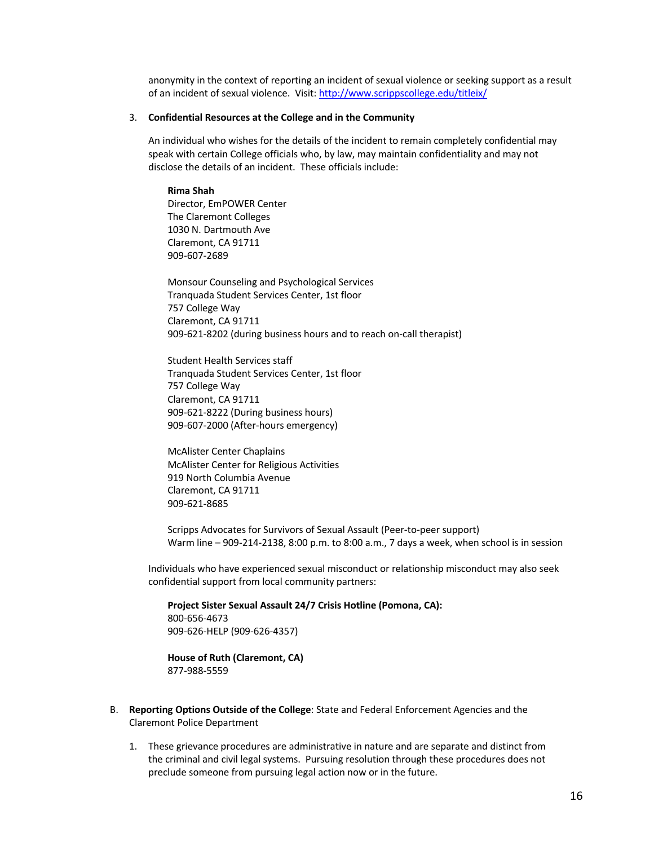anonymity in the context of reporting an incident of sexual violence or seeking support as a result of an incident of sexual violence. Visit: http://www.scrippscollege.edu/titleix/

#### 3. **Confidential Resources at the College and in the Community**

An individual who wishes for the details of the incident to remain completely confidential may speak with certain College officials who, by law, may maintain confidentiality and may not disclose the details of an incident. These officials include:

**Rima Shah** Director, EmPOWER Center The Claremont Colleges 1030 N. Dartmouth Ave Claremont, CA 91711 909-607-2689

Monsour Counseling and Psychological Services Tranquada Student Services Center, 1st floor 757 College Way Claremont, CA 91711 909-621-8202 (during business hours and to reach on-call therapist)

Student Health Services staff Tranquada Student Services Center, 1st floor 757 College Way Claremont, CA 91711 909-621-8222 (During business hours) 909-607-2000 (After-hours emergency)

McAlister Center Chaplains McAlister Center for Religious Activities 919 North Columbia Avenue Claremont, CA 91711 909-621-8685

Scripps Advocates for Survivors of Sexual Assault (Peer-to-peer support) Warm line – 909-214-2138, 8:00 p.m. to 8:00 a.m., 7 days a week, when school is in session

Individuals who have experienced sexual misconduct or relationship misconduct may also seek confidential support from local community partners:

**Project Sister Sexual Assault 24/7 Crisis Hotline (Pomona, CA):** 800-656-4673 909-626-HELP (909-626-4357)

**House of Ruth (Claremont, CA)** 877-988-5559

- B. **Reporting Options Outside of the College**: State and Federal Enforcement Agencies and the Claremont Police Department
	- 1. These grievance procedures are administrative in nature and are separate and distinct from the criminal and civil legal systems. Pursuing resolution through these procedures does not preclude someone from pursuing legal action now or in the future.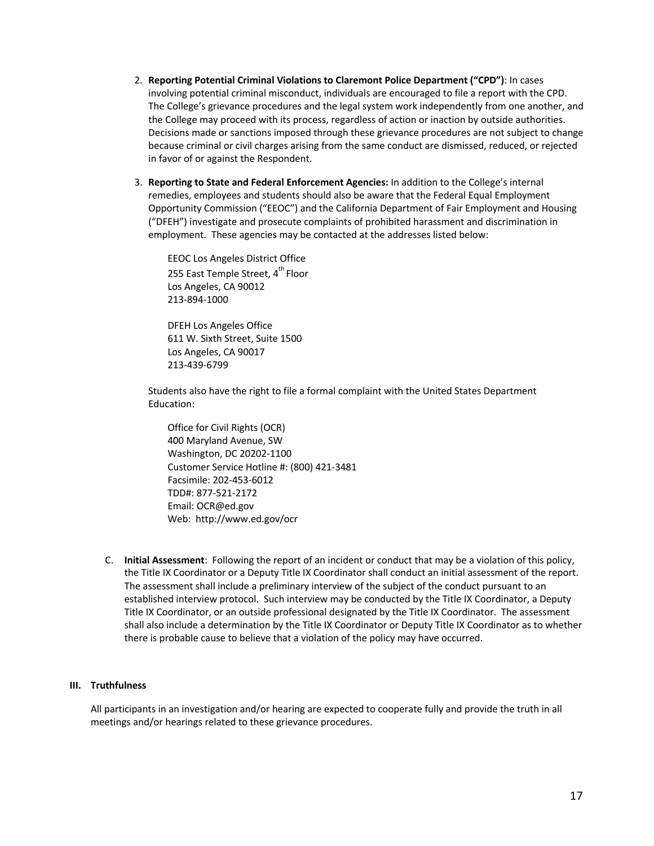- 2. **Reporting Potential Criminal Violations to Claremont Police Department ("CPD")**: In cases involving potential criminal misconduct, individuals are encouraged to file a report with the CPD. The College's grievance procedures and the legal system work independently from one another, and the College may proceed with its process, regardless of action or inaction by outside authorities. Decisions made or sanctions imposed through these grievance procedures are not subject to change because criminal or civil charges arising from the same conduct are dismissed, reduced, or rejected in favor of or against the Respondent.
- 3. **Reporting to State and Federal Enforcement Agencies:** In addition to the College's internal remedies, employees and students should also be aware that the Federal Equal Employment Opportunity Commission ("EEOC") and the California Department of Fair Employment and Housing ("DFEH") investigate and prosecute complaints of prohibited harassment and discrimination in employment. These agencies may be contacted at the addresses listed below:

EEOC Los Angeles District Office 255 East Temple Street, 4<sup>th</sup> Floor Los Angeles, CA 90012 213-894-1000

DFEH Los Angeles Office 611 W. Sixth Street, Suite 1500 Los Angeles, CA 90017 213-439-6799

Students also have the right to file a formal complaint with the United States Department Education:

Office for Civil Rights (OCR) 400 Maryland Avenue, SW Washington, DC 20202-1100 Customer Service Hotline #: (800) 421-3481 Facsimile: 202-453-6012 TDD#: 877-521-2172 Email: OCR@ed.gov Web: http://www.ed.gov/ocr

C. **Initial Assessment**: Following the report of an incident or conduct that may be a violation of this policy, the Title IX Coordinator or a Deputy Title IX Coordinator shall conduct an initial assessment of the report. The assessment shall include a preliminary interview of the subject of the conduct pursuant to an established interview protocol. Such interview may be conducted by the Title IX Coordinator, a Deputy Title IX Coordinator, or an outside professional designated by the Title IX Coordinator. The assessment shall also include a determination by the Title IX Coordinator or Deputy Title IX Coordinator as to whether there is probable cause to believe that a violation of the policy may have occurred.

# **III. Truthfulness**

All participants in an investigation and/or hearing are expected to cooperate fully and provide the truth in all meetings and/or hearings related to these grievance procedures.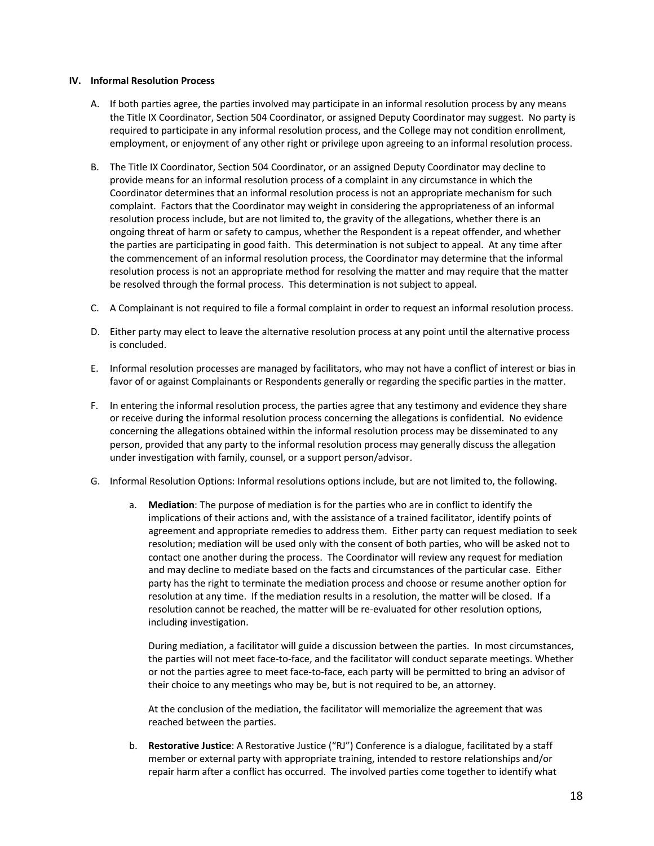#### **IV. Informal Resolution Process**

- A. If both parties agree, the parties involved may participate in an informal resolution process by any means the Title IX Coordinator, Section 504 Coordinator, or assigned Deputy Coordinator may suggest. No party is required to participate in any informal resolution process, and the College may not condition enrollment, employment, or enjoyment of any other right or privilege upon agreeing to an informal resolution process.
- B. The Title IX Coordinator, Section 504 Coordinator, or an assigned Deputy Coordinator may decline to provide means for an informal resolution process of a complaint in any circumstance in which the Coordinator determines that an informal resolution process is not an appropriate mechanism for such complaint. Factors that the Coordinator may weight in considering the appropriateness of an informal resolution process include, but are not limited to, the gravity of the allegations, whether there is an ongoing threat of harm or safety to campus, whether the Respondent is a repeat offender, and whether the parties are participating in good faith. This determination is not subject to appeal. At any time after the commencement of an informal resolution process, the Coordinator may determine that the informal resolution process is not an appropriate method for resolving the matter and may require that the matter be resolved through the formal process. This determination is not subject to appeal.
- C. A Complainant is not required to file a formal complaint in order to request an informal resolution process.
- D. Either party may elect to leave the alternative resolution process at any point until the alternative process is concluded.
- E. Informal resolution processes are managed by facilitators, who may not have a conflict of interest or bias in favor of or against Complainants or Respondents generally or regarding the specific parties in the matter.
- F. In entering the informal resolution process, the parties agree that any testimony and evidence they share or receive during the informal resolution process concerning the allegations is confidential. No evidence concerning the allegations obtained within the informal resolution process may be disseminated to any person, provided that any party to the informal resolution process may generally discuss the allegation under investigation with family, counsel, or a support person/advisor.
- G. Informal Resolution Options: Informal resolutions options include, but are not limited to, the following.
	- a. **Mediation**: The purpose of mediation is for the parties who are in conflict to identify the implications of their actions and, with the assistance of a trained facilitator, identify points of agreement and appropriate remedies to address them. Either party can request mediation to seek resolution; mediation will be used only with the consent of both parties, who will be asked not to contact one another during the process. The Coordinator will review any request for mediation and may decline to mediate based on the facts and circumstances of the particular case. Either party has the right to terminate the mediation process and choose or resume another option for resolution at any time. If the mediation results in a resolution, the matter will be closed. If a resolution cannot be reached, the matter will be re-evaluated for other resolution options, including investigation.

During mediation, a facilitator will guide a discussion between the parties. In most circumstances, the parties will not meet face-to-face, and the facilitator will conduct separate meetings. Whether or not the parties agree to meet face-to-face, each party will be permitted to bring an advisor of their choice to any meetings who may be, but is not required to be, an attorney.

At the conclusion of the mediation, the facilitator will memorialize the agreement that was reached between the parties.

b. **Restorative Justice**: A Restorative Justice ("RJ") Conference is a dialogue, facilitated by a staff member or external party with appropriate training, intended to restore relationships and/or repair harm after a conflict has occurred. The involved parties come together to identify what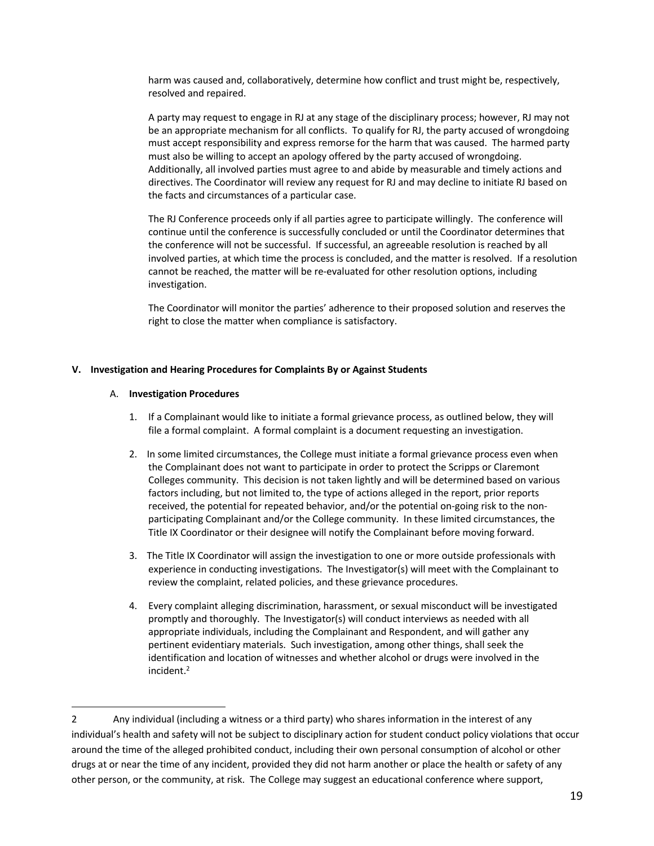harm was caused and, collaboratively, determine how conflict and trust might be, respectively, resolved and repaired.

A party may request to engage in RJ at any stage of the disciplinary process; however, RJ may not be an appropriate mechanism for all conflicts. To qualify for RJ, the party accused of wrongdoing must accept responsibility and express remorse for the harm that was caused. The harmed party must also be willing to accept an apology offered by the party accused of wrongdoing. Additionally, all involved parties must agree to and abide by measurable and timely actions and directives. The Coordinator will review any request for RJ and may decline to initiate RJ based on the facts and circumstances of a particular case.

The RJ Conference proceeds only if all parties agree to participate willingly. The conference will continue until the conference is successfully concluded or until the Coordinator determines that the conference will not be successful. If successful, an agreeable resolution is reached by all involved parties, at which time the process is concluded, and the matter is resolved. If a resolution cannot be reached, the matter will be re-evaluated for other resolution options, including investigation.

The Coordinator will monitor the parties' adherence to their proposed solution and reserves the right to close the matter when compliance is satisfactory.

# **V. Investigation and Hearing Procedures for Complaints By or Against Students**

#### A. **Investigation Procedures**

- 1. If a Complainant would like to initiate a formal grievance process, as outlined below, they will file a formal complaint. A formal complaint is a document requesting an investigation.
- 2. In some limited circumstances, the College must initiate a formal grievance process even when the Complainant does not want to participate in order to protect the Scripps or Claremont Colleges community. This decision is not taken lightly and will be determined based on various factors including, but not limited to, the type of actions alleged in the report, prior reports received, the potential for repeated behavior, and/or the potential on-going risk to the nonparticipating Complainant and/or the College community. In these limited circumstances, the Title IX Coordinator or their designee will notify the Complainant before moving forward.
- 3. The Title IX Coordinator will assign the investigation to one or more outside professionals with experience in conducting investigations. The Investigator(s) will meet with the Complainant to review the complaint, related policies, and these grievance procedures.
- 4. Every complaint alleging discrimination, harassment, or sexual misconduct will be investigated promptly and thoroughly. The Investigator(s) will conduct interviews as needed with all appropriate individuals, including the Complainant and Respondent, and will gather any pertinent evidentiary materials. Such investigation, among other things, shall seek the identification and location of witnesses and whether alcohol or drugs were involved in the incident. 2

<sup>2</sup> Any individual (including a witness or a third party) who shares information in the interest of any individual's health and safety will not be subject to disciplinary action for student conduct policy violations that occur around the time of the alleged prohibited conduct, including their own personal consumption of alcohol or other drugs at or near the time of any incident, provided they did not harm another or place the health or safety of any other person, or the community, at risk. The College may suggest an educational conference where support,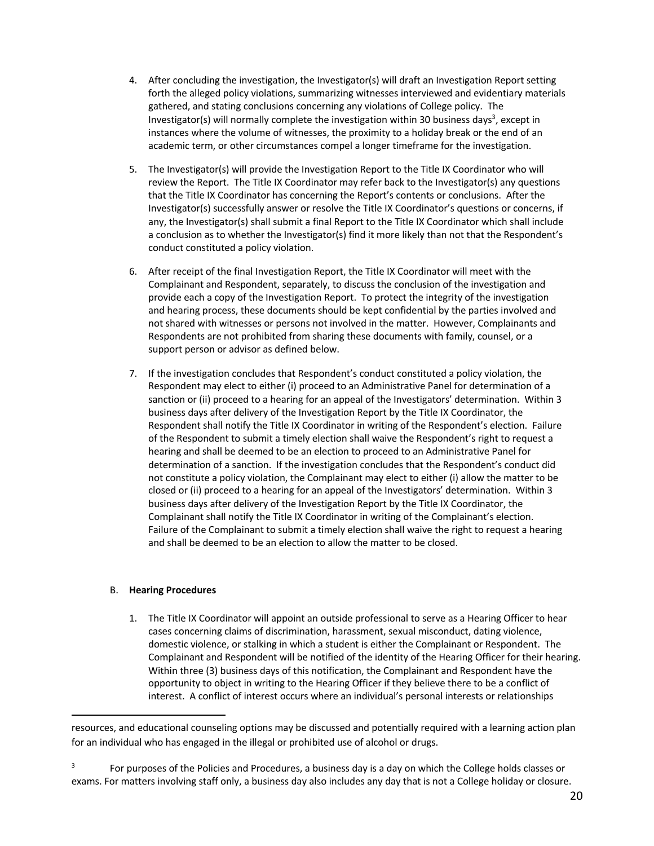- 4. After concluding the investigation, the Investigator(s) will draft an Investigation Report setting forth the alleged policy violations, summarizing witnesses interviewed and evidentiary materials gathered, and stating conclusions concerning any violations of College policy. The Investigator(s) will normally complete the investigation within 30 business days<sup>3</sup>, except in instances where the volume of witnesses, the proximity to a holiday break or the end of an academic term, or other circumstances compel a longer timeframe for the investigation.
- 5. The Investigator(s) will provide the Investigation Report to the Title IX Coordinator who will review the Report. The Title IX Coordinator may refer back to the Investigator(s) any questions that the Title IX Coordinator has concerning the Report's contents or conclusions. After the Investigator(s) successfully answer or resolve the Title IX Coordinator's questions or concerns, if any, the Investigator(s) shall submit a final Report to the Title IX Coordinator which shall include a conclusion as to whether the Investigator(s) find it more likely than not that the Respondent's conduct constituted a policy violation.
- 6. After receipt of the final Investigation Report, the Title IX Coordinator will meet with the Complainant and Respondent, separately, to discuss the conclusion of the investigation and provide each a copy of the Investigation Report. To protect the integrity of the investigation and hearing process, these documents should be kept confidential by the parties involved and not shared with witnesses or persons not involved in the matter. However, Complainants and Respondents are not prohibited from sharing these documents with family, counsel, or a support person or advisor as defined below.
- 7. If the investigation concludes that Respondent's conduct constituted a policy violation, the Respondent may elect to either (i) proceed to an Administrative Panel for determination of a sanction or (ii) proceed to a hearing for an appeal of the Investigators' determination. Within 3 business days after delivery of the Investigation Report by the Title IX Coordinator, the Respondent shall notify the Title IX Coordinator in writing of the Respondent's election. Failure of the Respondent to submit a timely election shall waive the Respondent's right to request a hearing and shall be deemed to be an election to proceed to an Administrative Panel for determination of a sanction. If the investigation concludes that the Respondent's conduct did not constitute a policy violation, the Complainant may elect to either (i) allow the matter to be closed or (ii) proceed to a hearing for an appeal of the Investigators' determination. Within 3 business days after delivery of the Investigation Report by the Title IX Coordinator, the Complainant shall notify the Title IX Coordinator in writing of the Complainant's election. Failure of the Complainant to submit a timely election shall waive the right to request a hearing and shall be deemed to be an election to allow the matter to be closed.

# B. **Hearing Procedures**

1. The Title IX Coordinator will appoint an outside professional to serve as a Hearing Officer to hear cases concerning claims of discrimination, harassment, sexual misconduct, dating violence, domestic violence, or stalking in which a student is either the Complainant or Respondent. The Complainant and Respondent will be notified of the identity of the Hearing Officer for their hearing. Within three (3) business days of this notification, the Complainant and Respondent have the opportunity to object in writing to the Hearing Officer if they believe there to be a conflict of interest. A conflict of interest occurs where an individual's personal interests or relationships

resources, and educational counseling options may be discussed and potentially required with a learning action plan for an individual who has engaged in the illegal or prohibited use of alcohol or drugs.

<sup>3</sup> For purposes of the Policies and Procedures, a business day is a day on which the College holds classes or exams. For matters involving staff only, a business day also includes any day that is not a College holiday or closure.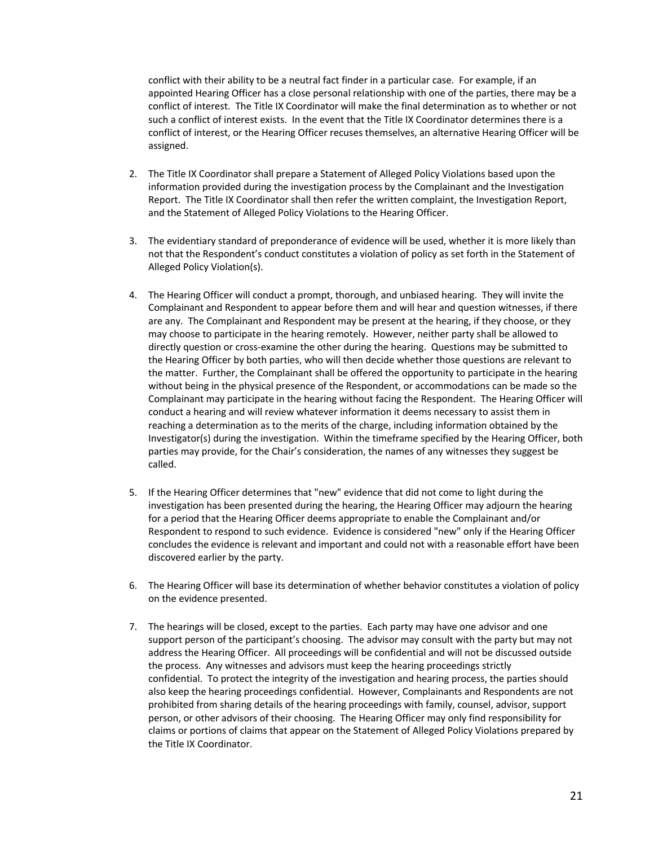conflict with their ability to be a neutral fact finder in a particular case. For example, if an appointed Hearing Officer has a close personal relationship with one of the parties, there may be a conflict of interest. The Title IX Coordinator will make the final determination as to whether or not such a conflict of interest exists. In the event that the Title IX Coordinator determines there is a conflict of interest, or the Hearing Officer recuses themselves, an alternative Hearing Officer will be assigned.

- 2. The Title IX Coordinator shall prepare a Statement of Alleged Policy Violations based upon the information provided during the investigation process by the Complainant and the Investigation Report. The Title IX Coordinator shall then refer the written complaint, the Investigation Report, and the Statement of Alleged Policy Violations to the Hearing Officer.
- 3. The evidentiary standard of preponderance of evidence will be used, whether it is more likely than not that the Respondent's conduct constitutes a violation of policy as set forth in the Statement of Alleged Policy Violation(s).
- 4. The Hearing Officer will conduct a prompt, thorough, and unbiased hearing. They will invite the Complainant and Respondent to appear before them and will hear and question witnesses, if there are any. The Complainant and Respondent may be present at the hearing, if they choose, or they may choose to participate in the hearing remotely. However, neither party shall be allowed to directly question or cross-examine the other during the hearing. Questions may be submitted to the Hearing Officer by both parties, who will then decide whether those questions are relevant to the matter. Further, the Complainant shall be offered the opportunity to participate in the hearing without being in the physical presence of the Respondent, or accommodations can be made so the Complainant may participate in the hearing without facing the Respondent. The Hearing Officer will conduct a hearing and will review whatever information it deems necessary to assist them in reaching a determination as to the merits of the charge, including information obtained by the Investigator(s) during the investigation. Within the timeframe specified by the Hearing Officer, both parties may provide, for the Chair's consideration, the names of any witnesses they suggest be called.
- 5. If the Hearing Officer determines that "new" evidence that did not come to light during the investigation has been presented during the hearing, the Hearing Officer may adjourn the hearing for a period that the Hearing Officer deems appropriate to enable the Complainant and/or Respondent to respond to such evidence. Evidence is considered "new" only if the Hearing Officer concludes the evidence is relevant and important and could not with a reasonable effort have been discovered earlier by the party.
- 6. The Hearing Officer will base its determination of whether behavior constitutes a violation of policy on the evidence presented.
- 7. The hearings will be closed, except to the parties. Each party may have one advisor and one support person of the participant's choosing. The advisor may consult with the party but may not address the Hearing Officer. All proceedings will be confidential and will not be discussed outside the process. Any witnesses and advisors must keep the hearing proceedings strictly confidential. To protect the integrity of the investigation and hearing process, the parties should also keep the hearing proceedings confidential. However, Complainants and Respondents are not prohibited from sharing details of the hearing proceedings with family, counsel, advisor, support person, or other advisors of their choosing. The Hearing Officer may only find responsibility for claims or portions of claims that appear on the Statement of Alleged Policy Violations prepared by the Title IX Coordinator.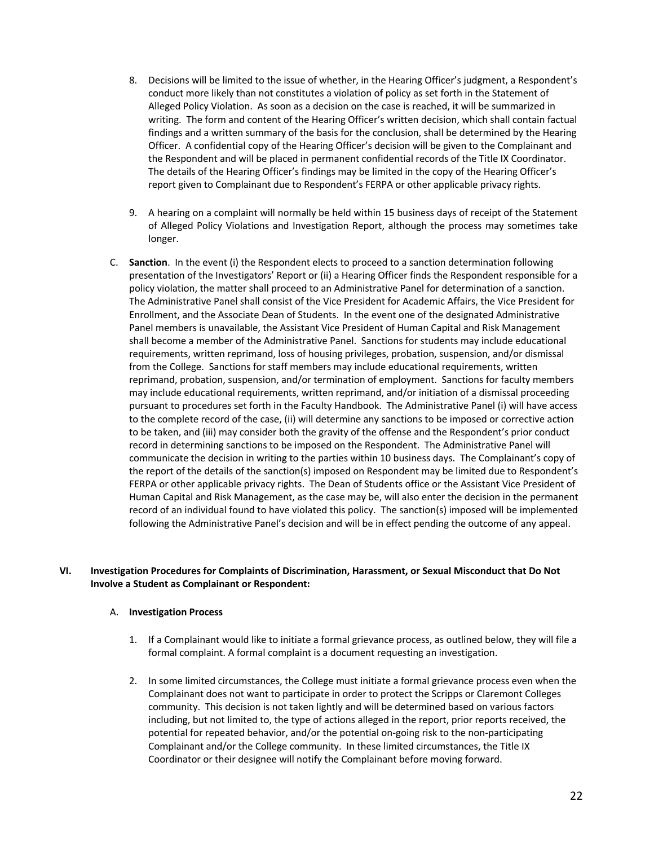- 8. Decisions will be limited to the issue of whether, in the Hearing Officer's judgment, a Respondent's conduct more likely than not constitutes a violation of policy as set forth in the Statement of Alleged Policy Violation. As soon as a decision on the case is reached, it will be summarized in writing. The form and content of the Hearing Officer's written decision, which shall contain factual findings and a written summary of the basis for the conclusion, shall be determined by the Hearing Officer. A confidential copy of the Hearing Officer's decision will be given to the Complainant and the Respondent and will be placed in permanent confidential records of the Title IX Coordinator. The details of the Hearing Officer's findings may be limited in the copy of the Hearing Officer's report given to Complainant due to Respondent's FERPA or other applicable privacy rights.
- 9. A hearing on a complaint will normally be held within 15 business days of receipt of the Statement of Alleged Policy Violations and Investigation Report, although the process may sometimes take longer.
- C. **Sanction**. In the event (i) the Respondent elects to proceed to a sanction determination following presentation of the Investigators' Report or (ii) a Hearing Officer finds the Respondent responsible for a policy violation, the matter shall proceed to an Administrative Panel for determination of a sanction. The Administrative Panel shall consist of the Vice President for Academic Affairs, the Vice President for Enrollment, and the Associate Dean of Students. In the event one of the designated Administrative Panel members is unavailable, the Assistant Vice President of Human Capital and Risk Management shall become a member of the Administrative Panel. Sanctions for students may include educational requirements, written reprimand, loss of housing privileges, probation, suspension, and/or dismissal from the College. Sanctions for staff members may include educational requirements, written reprimand, probation, suspension, and/or termination of employment. Sanctions for faculty members may include educational requirements, written reprimand, and/or initiation of a dismissal proceeding pursuant to procedures set forth in the Faculty Handbook. The Administrative Panel (i) will have access to the complete record of the case, (ii) will determine any sanctions to be imposed or corrective action to be taken, and (iii) may consider both the gravity of the offense and the Respondent's prior conduct record in determining sanctions to be imposed on the Respondent. The Administrative Panel will communicate the decision in writing to the parties within 10 business days. The Complainant's copy of the report of the details of the sanction(s) imposed on Respondent may be limited due to Respondent's FERPA or other applicable privacy rights. The Dean of Students office or the Assistant Vice President of Human Capital and Risk Management, as the case may be, will also enter the decision in the permanent record of an individual found to have violated this policy. The sanction(s) imposed will be implemented following the Administrative Panel's decision and will be in effect pending the outcome of any appeal.

# **VI. Investigation Procedures for Complaints of Discrimination, Harassment, or Sexual Misconduct that Do Not Involve a Student as Complainant or Respondent:**

#### A. **Investigation Process**

- 1. If a Complainant would like to initiate a formal grievance process, as outlined below, they will file a formal complaint. A formal complaint is a document requesting an investigation.
- 2. In some limited circumstances, the College must initiate a formal grievance process even when the Complainant does not want to participate in order to protect the Scripps or Claremont Colleges community. This decision is not taken lightly and will be determined based on various factors including, but not limited to, the type of actions alleged in the report, prior reports received, the potential for repeated behavior, and/or the potential on-going risk to the non-participating Complainant and/or the College community. In these limited circumstances, the Title IX Coordinator or their designee will notify the Complainant before moving forward.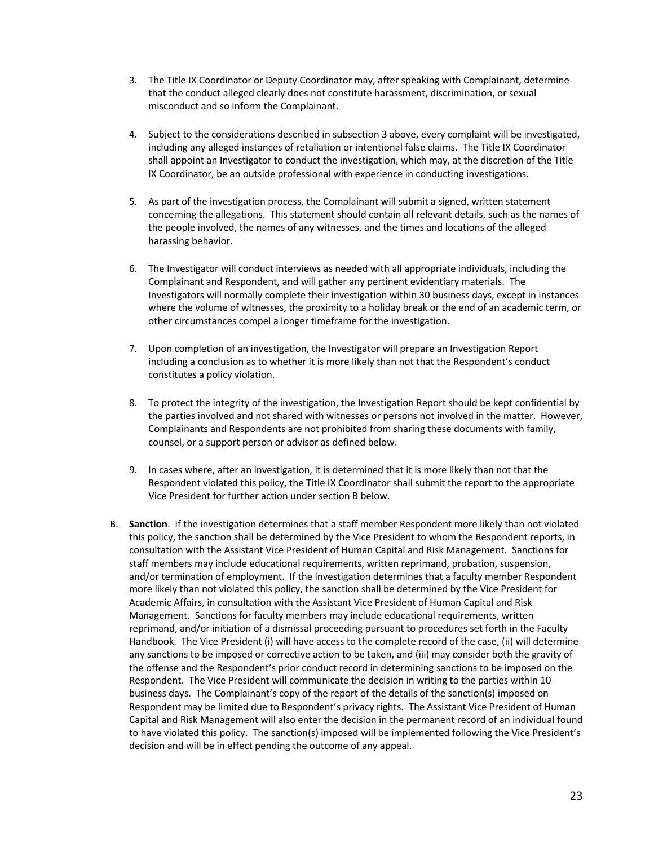- 3. The Title IX Coordinator or Deputy Coordinator may, after speaking with Complainant, determine that the conduct alleged clearly does not constitute harassment, discrimination, or sexual misconduct and so inform the Complainant.
- 4. Subject to the considerations described in subsection 3 above, every complaint will be investigated, including any alleged instances of retaliation or intentional false claims. The Title IX Coordinator shall appoint an Investigator to conduct the investigation, which may, at the discretion of the Title IX Coordinator, be an outside professional with experience in conducting investigations.
- 5. As part of the investigation process, the Complainant will submit a signed, written statement concerning the allegations. This statement should contain all relevant details, such as the names of the people involved, the names of any witnesses, and the times and locations of the alleged harassing behavior.
- 6. The Investigator will conduct interviews as needed with all appropriate individuals, including the Complainant and Respondent, and will gather any pertinent evidentiary materials. The Investigators will normally complete their investigation within 30 business days, except in instances where the volume of witnesses, the proximity to a holiday break or the end of an academic term, or other circumstances compel a longer timeframe for the investigation.
- 7. Upon completion of an investigation, the Investigator will prepare an Investigation Report including a conclusion as to whether it is more likely than not that the Respondent's conduct constitutes a policy violation.
- 8. To protect the integrity of the investigation, the Investigation Report should be kept confidential by the parties involved and not shared with witnesses or persons not involved in the matter. However, Complainants and Respondents are not prohibited from sharing these documents with family, counsel, or a support person or advisor as defined below.
- 9. In cases where, after an investigation, it is determined that it is more likely than not that the Respondent violated this policy, the Title IX Coordinator shall submit the report to the appropriate Vice President for further action under section B below.
- B. **Sanction**. If the investigation determines that a staff member Respondent more likely than not violated this policy, the sanction shall be determined by the Vice President to whom the Respondent reports, in consultation with the Assistant Vice President of Human Capital and Risk Management. Sanctions for staff members may include educational requirements, written reprimand, probation, suspension, and/or termination of employment. If the investigation determines that a faculty member Respondent more likely than not violated this policy, the sanction shall be determined by the Vice President for Academic Affairs, in consultation with the Assistant Vice President of Human Capital and Risk Management. Sanctions for faculty members may include educational requirements, written reprimand, and/or initiation of a dismissal proceeding pursuant to procedures set forth in the Faculty Handbook. The Vice President (i) will have access to the complete record of the case, (ii) will determine any sanctions to be imposed or corrective action to be taken, and (iii) may consider both the gravity of the offense and the Respondent's prior conduct record in determining sanctions to be imposed on the Respondent. The Vice President will communicate the decision in writing to the parties within 10 business days. The Complainant's copy of the report of the details of the sanction(s) imposed on Respondent may be limited due to Respondent's privacy rights. The Assistant Vice President of Human Capital and Risk Management will also enter the decision in the permanent record of an individual found to have violated this policy. The sanction(s) imposed will be implemented following the Vice President's decision and will be in effect pending the outcome of any appeal.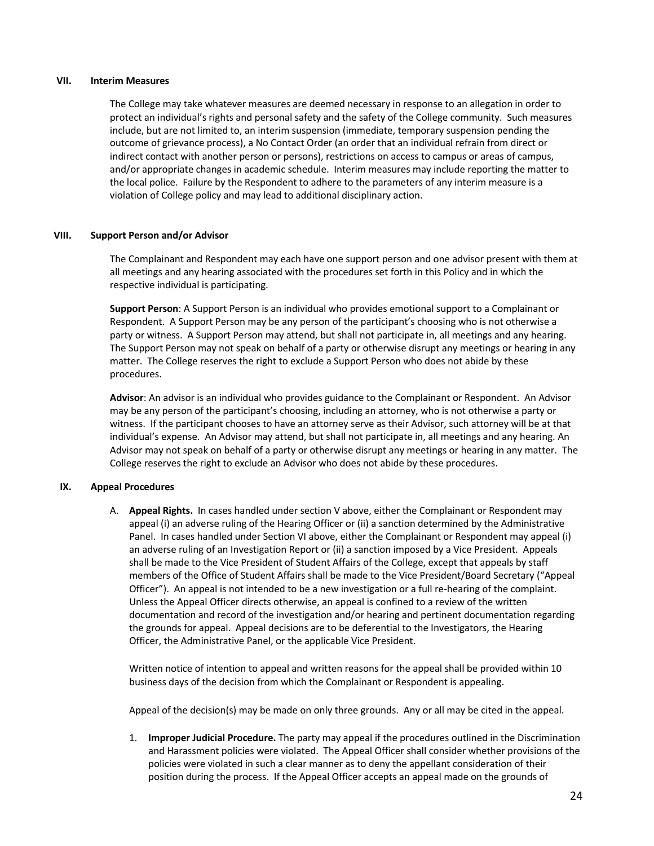#### **VII. Interim Measures**

The College may take whatever measures are deemed necessary in response to an allegation in order to protect an individual's rights and personal safety and the safety of the College community. Such measures include, but are not limited to, an interim suspension (immediate, temporary suspension pending the outcome of grievance process), a No Contact Order (an order that an individual refrain from direct or indirect contact with another person or persons), restrictions on access to campus or areas of campus, and/or appropriate changes in academic schedule. Interim measures may include reporting the matter to the local police. Failure by the Respondent to adhere to the parameters of any interim measure is a violation of College policy and may lead to additional disciplinary action.

#### **VIII. Support Person and/or Advisor**

The Complainant and Respondent may each have one support person and one advisor present with them at all meetings and any hearing associated with the procedures set forth in this Policy and in which the respective individual is participating.

**Support Person**: A Support Person is an individual who provides emotional support to a Complainant or Respondent. A Support Person may be any person of the participant's choosing who is not otherwise a party or witness. A Support Person may attend, but shall not participate in, all meetings and any hearing. The Support Person may not speak on behalf of a party or otherwise disrupt any meetings or hearing in any matter. The College reserves the right to exclude a Support Person who does not abide by these procedures.

**Advisor**: An advisor is an individual who provides guidance to the Complainant or Respondent. An Advisor may be any person of the participant's choosing, including an attorney, who is not otherwise a party or witness. If the participant chooses to have an attorney serve as their Advisor, such attorney will be at that individual's expense. An Advisor may attend, but shall not participate in, all meetings and any hearing. An Advisor may not speak on behalf of a party or otherwise disrupt any meetings or hearing in any matter. The College reserves the right to exclude an Advisor who does not abide by these procedures.

#### **IX. Appeal Procedures**

A. **Appeal Rights.** In cases handled under section V above, either the Complainant or Respondent may appeal (i) an adverse ruling of the Hearing Officer or (ii) a sanction determined by the Administrative Panel. In cases handled under Section VI above, either the Complainant or Respondent may appeal (i) an adverse ruling of an Investigation Report or (ii) a sanction imposed by a Vice President. Appeals shall be made to the Vice President of Student Affairs of the College, except that appeals by staff members of the Office of Student Affairs shall be made to the Vice President/Board Secretary ("Appeal Officer"). An appeal is not intended to be a new investigation or a full re-hearing of the complaint. Unless the Appeal Officer directs otherwise, an appeal is confined to a review of the written documentation and record of the investigation and/or hearing and pertinent documentation regarding the grounds for appeal. Appeal decisions are to be deferential to the Investigators, the Hearing Officer, the Administrative Panel, or the applicable Vice President.

Written notice of intention to appeal and written reasons for the appeal shall be provided within 10 business days of the decision from which the Complainant or Respondent is appealing.

Appeal of the decision(s) may be made on only three grounds. Any or all may be cited in the appeal.

1. **Improper Judicial Procedure.** The party may appeal if the procedures outlined in the Discrimination and Harassment policies were violated. The Appeal Officer shall consider whether provisions of the policies were violated in such a clear manner as to deny the appellant consideration of their position during the process. If the Appeal Officer accepts an appeal made on the grounds of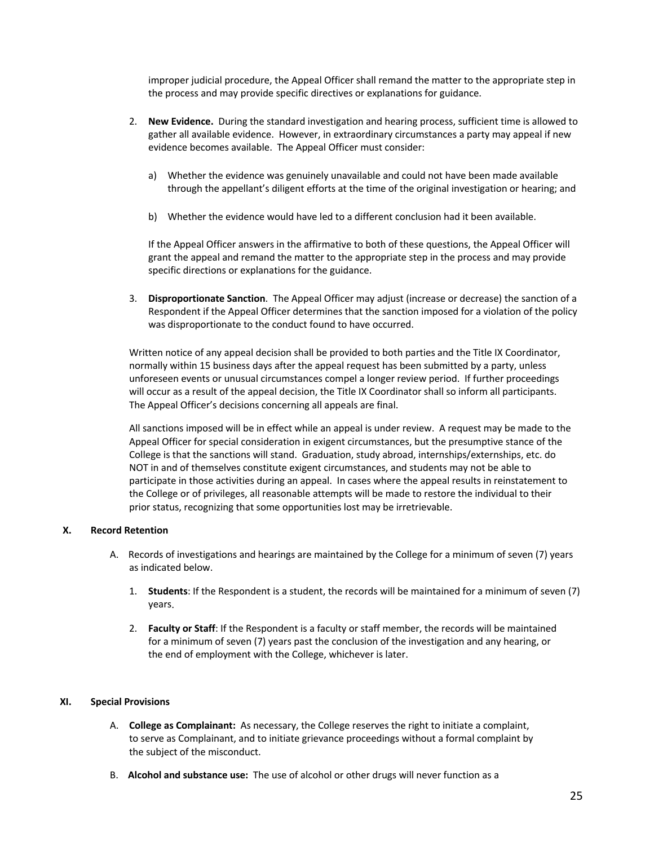improper judicial procedure, the Appeal Officer shall remand the matter to the appropriate step in the process and may provide specific directives or explanations for guidance.

- 2. **New Evidence.** During the standard investigation and hearing process, sufficient time is allowed to gather all available evidence. However, in extraordinary circumstances a party may appeal if new evidence becomes available. The Appeal Officer must consider:
	- a) Whether the evidence was genuinely unavailable and could not have been made available through the appellant's diligent efforts at the time of the original investigation or hearing; and
	- b) Whether the evidence would have led to a different conclusion had it been available.

If the Appeal Officer answers in the affirmative to both of these questions, the Appeal Officer will grant the appeal and remand the matter to the appropriate step in the process and may provide specific directions or explanations for the guidance.

3. **Disproportionate Sanction**. The Appeal Officer may adjust (increase or decrease) the sanction of a Respondent if the Appeal Officer determines that the sanction imposed for a violation of the policy was disproportionate to the conduct found to have occurred.

Written notice of any appeal decision shall be provided to both parties and the Title IX Coordinator, normally within 15 business days after the appeal request has been submitted by a party, unless unforeseen events or unusual circumstances compel a longer review period. If further proceedings will occur as a result of the appeal decision, the Title IX Coordinator shall so inform all participants. The Appeal Officer's decisions concerning all appeals are final.

All sanctions imposed will be in effect while an appeal is under review. A request may be made to the Appeal Officer for special consideration in exigent circumstances, but the presumptive stance of the College is that the sanctions will stand. Graduation, study abroad, internships/externships, etc. do NOT in and of themselves constitute exigent circumstances, and students may not be able to participate in those activities during an appeal. In cases where the appeal results in reinstatement to the College or of privileges, all reasonable attempts will be made to restore the individual to their prior status, recognizing that some opportunities lost may be irretrievable.

#### **X. Record Retention**

- A. Records of investigations and hearings are maintained by the College for a minimum of seven (7) years as indicated below.
	- 1. **Students**: If the Respondent is a student, the records will be maintained for a minimum of seven (7) years.
	- 2. **Faculty or Staff**: If the Respondent is a faculty or staff member, the records will be maintained for a minimum of seven (7) years past the conclusion of the investigation and any hearing, or the end of employment with the College, whichever is later.

#### **XI. Special Provisions**

- A. **College as Complainant:** As necessary, the College reserves the right to initiate a complaint, to serve as Complainant, and to initiate grievance proceedings without a formal complaint by the subject of the misconduct.
- B. **Alcohol and substance use:** The use of alcohol or other drugs will never function as a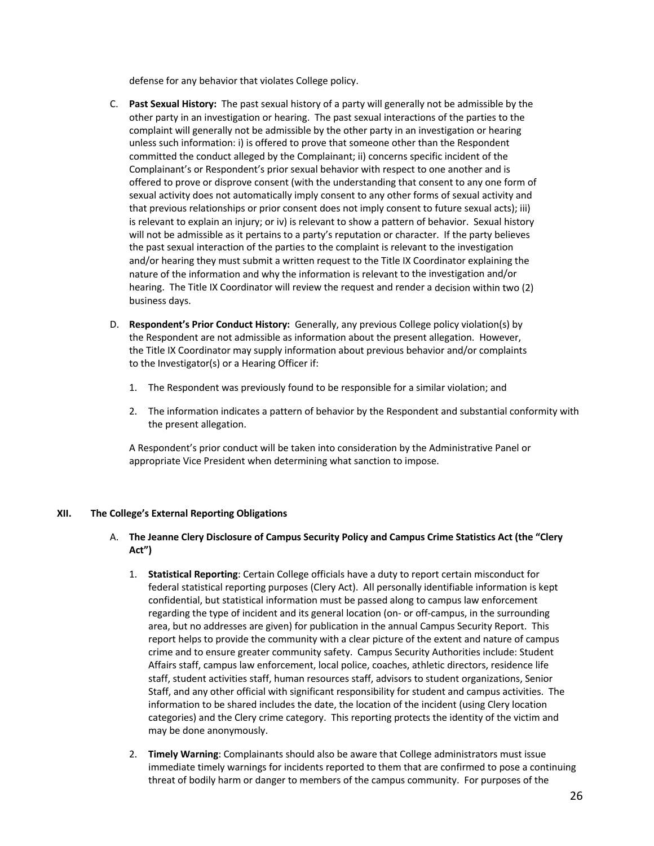defense for any behavior that violates College policy.

- C. **Past Sexual History:** The past sexual history of a party will generally not be admissible by the other party in an investigation or hearing. The past sexual interactions of the parties to the complaint will generally not be admissible by the other party in an investigation or hearing unless such information: i) is offered to prove that someone other than the Respondent committed the conduct alleged by the Complainant; ii) concerns specific incident of the Complainant's or Respondent's prior sexual behavior with respect to one another and is offered to prove or disprove consent (with the understanding that consent to any one form of sexual activity does not automatically imply consent to any other forms of sexual activity and that previous relationships or prior consent does not imply consent to future sexual acts); iii) is relevant to explain an injury; or iv) is relevant to show a pattern of behavior. Sexual history will not be admissible as it pertains to a party's reputation or character. If the party believes the past sexual interaction of the parties to the complaint is relevant to the investigation and/or hearing they must submit a written request to the Title IX Coordinator explaining the nature of the information and why the information is relevant to the investigation and/or hearing. The Title IX Coordinator will review the request and render a decision within two (2) business days.
- D. **Respondent's Prior Conduct History:** Generally, any previous College policy violation(s) by the Respondent are not admissible as information about the present allegation. However, the Title IX Coordinator may supply information about previous behavior and/or complaints to the Investigator(s) or a Hearing Officer if:
	- 1. The Respondent was previously found to be responsible for a similar violation; and
	- 2. The information indicates a pattern of behavior by the Respondent and substantial conformity with the present allegation.

A Respondent's prior conduct will be taken into consideration by the Administrative Panel or appropriate Vice President when determining what sanction to impose.

#### **XII. The College's External Reporting Obligations**

# A. **The Jeanne Clery Disclosure of Campus Security Policy and Campus Crime Statistics Act (the "Clery Act")**

- 1. **Statistical Reporting**: Certain College officials have a duty to report certain misconduct for federal statistical reporting purposes (Clery Act). All personally identifiable information is kept confidential, but statistical information must be passed along to campus law enforcement regarding the type of incident and its general location (on- or off-campus, in the surrounding area, but no addresses are given) for publication in the annual Campus Security Report. This report helps to provide the community with a clear picture of the extent and nature of campus crime and to ensure greater community safety. Campus Security Authorities include: Student Affairs staff, campus law enforcement, local police, coaches, athletic directors, residence life staff, student activities staff, human resources staff, advisors to student organizations, Senior Staff, and any other official with significant responsibility for student and campus activities. The information to be shared includes the date, the location of the incident (using Clery location categories) and the Clery crime category. This reporting protects the identity of the victim and may be done anonymously.
- 2. **Timely Warning**: Complainants should also be aware that College administrators must issue immediate timely warnings for incidents reported to them that are confirmed to pose a continuing threat of bodily harm or danger to members of the campus community. For purposes of the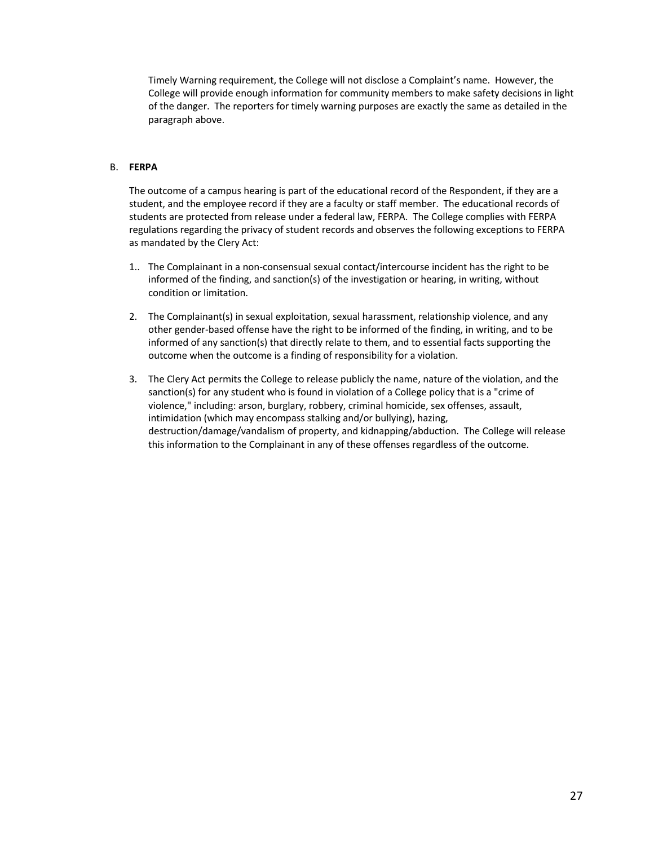Timely Warning requirement, the College will not disclose a Complaint's name. However, the College will provide enough information for community members to make safety decisions in light of the danger. The reporters for timely warning purposes are exactly the same as detailed in the paragraph above.

# B. **FERPA**

The outcome of a campus hearing is part of the educational record of the Respondent, if they are a student, and the employee record if they are a faculty or staff member. The educational records of students are protected from release under a federal law, FERPA. The College complies with FERPA regulations regarding the privacy of student records and observes the following exceptions to FERPA as mandated by the Clery Act:

- 1.. The Complainant in a non-consensual sexual contact/intercourse incident has the right to be informed of the finding, and sanction(s) of the investigation or hearing, in writing, without condition or limitation.
- 2. The Complainant(s) in sexual exploitation, sexual harassment, relationship violence, and any other gender-based offense have the right to be informed of the finding, in writing, and to be informed of any sanction(s) that directly relate to them, and to essential facts supporting the outcome when the outcome is a finding of responsibility for a violation.
- 3. The Clery Act permits the College to release publicly the name, nature of the violation, and the sanction(s) for any student who is found in violation of a College policy that is a "crime of violence," including: arson, burglary, robbery, criminal homicide, sex offenses, assault, intimidation (which may encompass stalking and/or bullying), hazing, destruction/damage/vandalism of property, and kidnapping/abduction. The College will release this information to the Complainant in any of these offenses regardless of the outcome.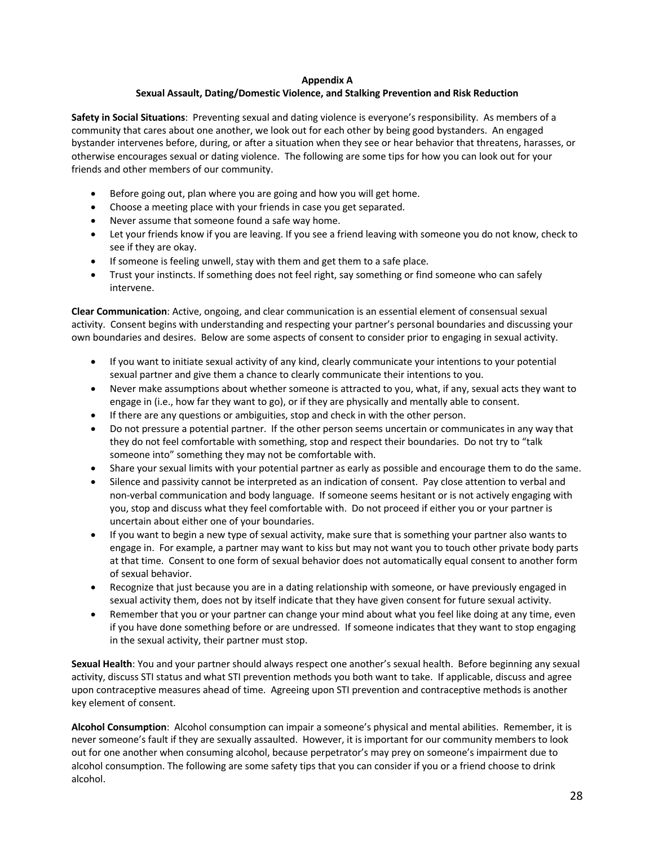## **Appendix A**

# **Sexual Assault, Dating/Domestic Violence, and Stalking Prevention and Risk Reduction**

**Safety in Social Situations**: Preventing sexual and dating violence is everyone's responsibility. As members of a community that cares about one another, we look out for each other by being good bystanders. An engaged bystander intervenes before, during, or after a situation when they see or hear behavior that threatens, harasses, or otherwise encourages sexual or dating violence. The following are some tips for how you can look out for your friends and other members of our community.

- Before going out, plan where you are going and how you will get home.
- Choose a meeting place with your friends in case you get separated.
- Never assume that someone found a safe way home.
- Let your friends know if you are leaving. If you see a friend leaving with someone you do not know, check to see if they are okay.
- If someone is feeling unwell, stay with them and get them to a safe place.
- Trust your instincts. If something does not feel right, say something or find someone who can safely intervene.

**Clear Communication**: Active, ongoing, and clear communication is an essential element of consensual sexual activity. Consent begins with understanding and respecting your partner's personal boundaries and discussing your own boundaries and desires. Below are some aspects of consent to consider prior to engaging in sexual activity.

- If you want to initiate sexual activity of any kind, clearly communicate your intentions to your potential sexual partner and give them a chance to clearly communicate their intentions to you.
- Never make assumptions about whether someone is attracted to you, what, if any, sexual acts they want to engage in (i.e., how far they want to go), or if they are physically and mentally able to consent.
- If there are any questions or ambiguities, stop and check in with the other person.
- Do not pressure a potential partner. If the other person seems uncertain or communicates in any way that they do not feel comfortable with something, stop and respect their boundaries. Do not try to "talk someone into" something they may not be comfortable with.
- Share your sexual limits with your potential partner as early as possible and encourage them to do the same.
- Silence and passivity cannot be interpreted as an indication of consent. Pay close attention to verbal and non-verbal communication and body language. If someone seems hesitant or is not actively engaging with you, stop and discuss what they feel comfortable with. Do not proceed if either you or your partner is uncertain about either one of your boundaries.
- If you want to begin a new type of sexual activity, make sure that is something your partner also wants to engage in. For example, a partner may want to kiss but may not want you to touch other private body parts at that time. Consent to one form of sexual behavior does not automatically equal consent to another form of sexual behavior.
- Recognize that just because you are in a dating relationship with someone, or have previously engaged in sexual activity them, does not by itself indicate that they have given consent for future sexual activity.
- Remember that you or your partner can change your mind about what you feel like doing at any time, even if you have done something before or are undressed. If someone indicates that they want to stop engaging in the sexual activity, their partner must stop.

**Sexual Health**: You and your partner should always respect one another's sexual health. Before beginning any sexual activity, discuss STI status and what STI prevention methods you both want to take. If applicable, discuss and agree upon contraceptive measures ahead of time. Agreeing upon STI prevention and contraceptive methods is another key element of consent.

**Alcohol Consumption**: Alcohol consumption can impair a someone's physical and mental abilities. Remember, it is never someone's fault if they are sexually assaulted. However, it is important for our community members to look out for one another when consuming alcohol, because perpetrator's may prey on someone's impairment due to alcohol consumption. The following are some safety tips that you can consider if you or a friend choose to drink alcohol.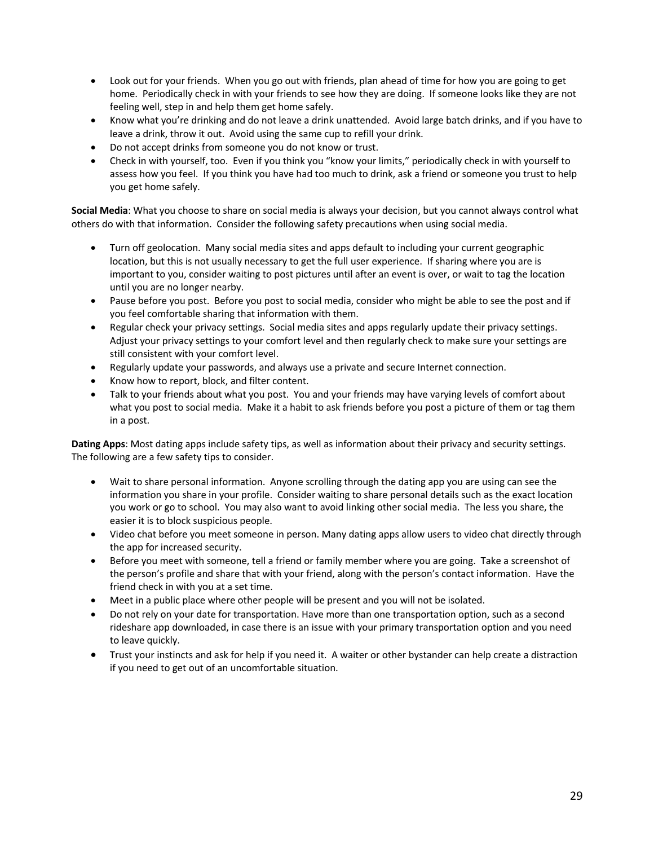- Look out for your friends. When you go out with friends, plan ahead of time for how you are going to get home. Periodically check in with your friends to see how they are doing. If someone looks like they are not feeling well, step in and help them get home safely.
- Know what you're drinking and do not leave a drink unattended. Avoid large batch drinks, and if you have to leave a drink, throw it out. Avoid using the same cup to refill your drink.
- Do not accept drinks from someone you do not know or trust.
- Check in with yourself, too. Even if you think you "know your limits," periodically check in with yourself to assess how you feel. If you think you have had too much to drink, ask a friend or someone you trust to help you get home safely.

**Social Media**: What you choose to share on social media is always your decision, but you cannot always control what others do with that information. Consider the following safety precautions when using social media.

- Turn off geolocation. Many social media sites and apps default to including your current geographic location, but this is not usually necessary to get the full user experience. If sharing where you are is important to you, consider waiting to post pictures until after an event is over, or wait to tag the location until you are no longer nearby.
- Pause before you post. Before you post to social media, consider who might be able to see the post and if you feel comfortable sharing that information with them.
- Regular check your privacy settings. Social media sites and apps regularly update their privacy settings. Adjust your privacy settings to your comfort level and then regularly check to make sure your settings are still consistent with your comfort level.
- Regularly update your passwords, and always use a private and secure Internet connection.
- Know how to report, block, and filter content.
- Talk to your friends about what you post. You and your friends may have varying levels of comfort about what you post to social media. Make it a habit to ask friends before you post a picture of them or tag them in a post.

**Dating Apps**: Most dating apps include safety tips, as well as information about their privacy and security settings. The following are a few safety tips to consider.

- Wait to share personal information. Anyone scrolling through the dating app you are using can see the information you share in your profile. Consider waiting to share personal details such as the exact location you work or go to school. You may also want to avoid linking other social media. The less you share, the easier it is to block suspicious people.
- Video chat before you meet someone in person. Many dating apps allow users to video chat directly through the app for increased security.
- Before you meet with someone, tell a friend or family member where you are going. Take a screenshot of the person's profile and share that with your friend, along with the person's contact information. Have the friend check in with you at a set time.
- Meet in a public place where other people will be present and you will not be isolated.
- Do not rely on your date for transportation. Have more than one transportation option, such as a second rideshare app downloaded, in case there is an issue with your primary transportation option and you need to leave quickly.
- Trust your instincts and ask for help if you need it. A waiter or other bystander can help create a distraction if you need to get out of an uncomfortable situation.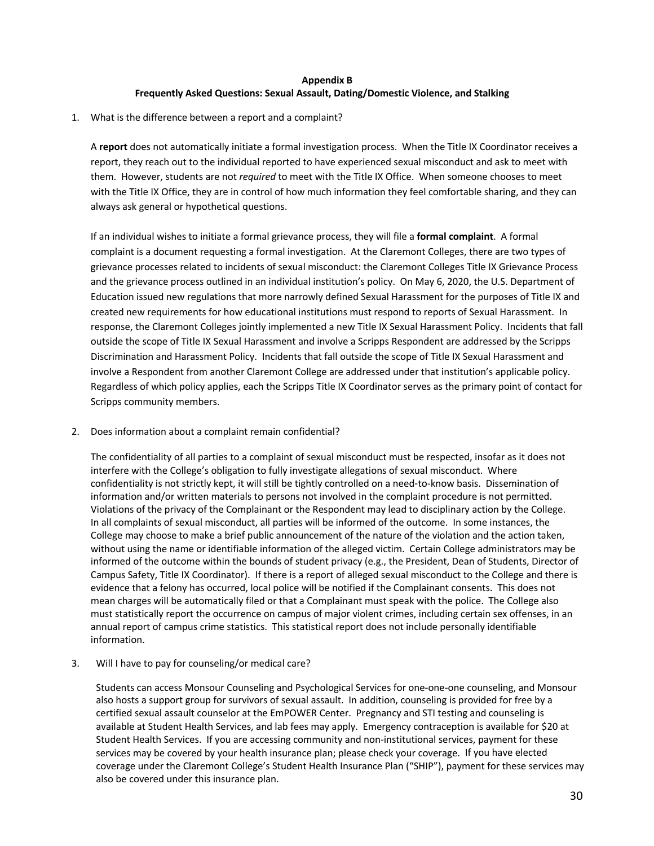# **Appendix B Frequently Asked Questions: Sexual Assault, Dating/Domestic Violence, and Stalking**

1. What is the difference between a report and a complaint?

A **report** does not automatically initiate a formal investigation process. When the Title IX Coordinator receives a report, they reach out to the individual reported to have experienced sexual misconduct and ask to meet with them. However, students are not *required* to meet with the Title IX Office. When someone chooses to meet with the Title IX Office, they are in control of how much information they feel comfortable sharing, and they can always ask general or hypothetical questions.

If an individual wishes to initiate a formal grievance process, they will file a **formal complaint**. A formal complaint is a document requesting a formal investigation. At the Claremont Colleges, there are two types of grievance processes related to incidents of sexual misconduct: the Claremont Colleges Title IX Grievance Process and the grievance process outlined in an individual institution's policy. On May 6, 2020, the U.S. Department of Education issued new regulations that more narrowly defined Sexual Harassment for the purposes of Title IX and created new requirements for how educational institutions must respond to reports of Sexual Harassment. In response, the Claremont Colleges jointly implemented a new Title IX Sexual Harassment Policy. Incidents that fall outside the scope of Title IX Sexual Harassment and involve a Scripps Respondent are addressed by the Scripps Discrimination and Harassment Policy. Incidents that fall outside the scope of Title IX Sexual Harassment and involve a Respondent from another Claremont College are addressed under that institution's applicable policy. Regardless of which policy applies, each the Scripps Title IX Coordinator serves as the primary point of contact for Scripps community members.

2. Does information about a complaint remain confidential?

The confidentiality of all parties to a complaint of sexual misconduct must be respected, insofar as it does not interfere with the College's obligation to fully investigate allegations of sexual misconduct. Where confidentiality is not strictly kept, it will still be tightly controlled on a need-to-know basis. Dissemination of information and/or written materials to persons not involved in the complaint procedure is not permitted. Violations of the privacy of the Complainant or the Respondent may lead to disciplinary action by the College. In all complaints of sexual misconduct, all parties will be informed of the outcome. In some instances, the College may choose to make a brief public announcement of the nature of the violation and the action taken, without using the name or identifiable information of the alleged victim. Certain College administrators may be informed of the outcome within the bounds of student privacy (e.g., the President, Dean of Students, Director of Campus Safety, Title IX Coordinator). If there is a report of alleged sexual misconduct to the College and there is evidence that a felony has occurred, local police will be notified if the Complainant consents. This does not mean charges will be automatically filed or that a Complainant must speak with the police. The College also must statistically report the occurrence on campus of major violent crimes, including certain sex offenses, in an annual report of campus crime statistics. This statistical report does not include personally identifiable information.

3. Will I have to pay for counseling/or medical care?

Students can access Monsour Counseling and Psychological Services for one-one-one counseling, and Monsour also hosts a support group for survivors of sexual assault. In addition, counseling is provided for free by a certified sexual assault counselor at the EmPOWER Center. Pregnancy and STI testing and counseling is available at Student Health Services, and lab fees may apply. Emergency contraception is available for \$20 at Student Health Services. If you are accessing community and non-institutional services, payment for these services may be covered by your health insurance plan; please check your coverage. If you have elected coverage under the Claremont College's Student Health Insurance Plan ("SHIP"), payment for these services may also be covered under this insurance plan.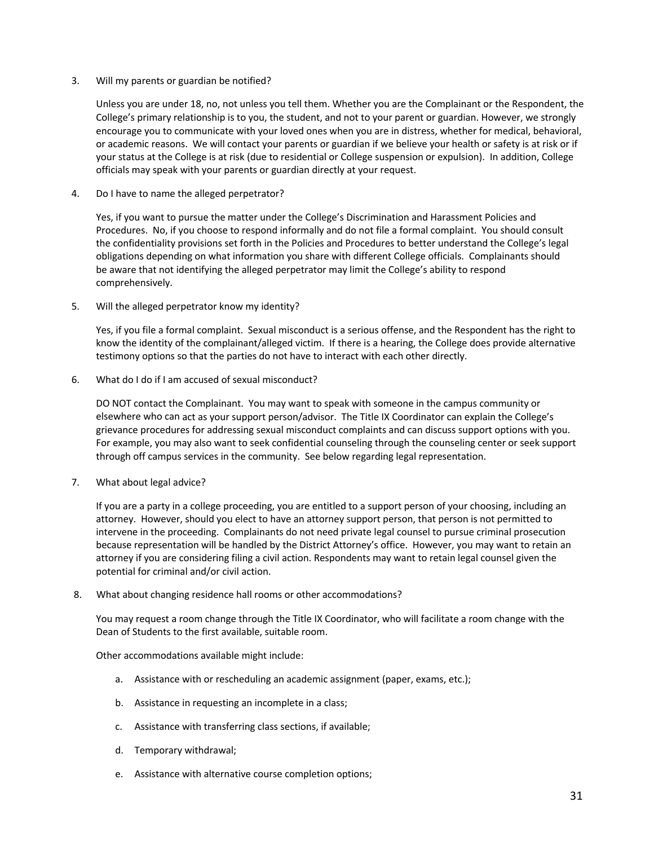3. Will my parents or guardian be notified?

Unless you are under 18, no, not unless you tell them. Whether you are the Complainant or the Respondent, the College's primary relationship is to you, the student, and not to your parent or guardian. However, we strongly encourage you to communicate with your loved ones when you are in distress, whether for medical, behavioral, or academic reasons. We will contact your parents or guardian if we believe your health or safety is at risk or if your status at the College is at risk (due to residential or College suspension or expulsion). In addition, College officials may speak with your parents or guardian directly at your request.

4. Do I have to name the alleged perpetrator?

Yes, if you want to pursue the matter under the College's Discrimination and Harassment Policies and Procedures. No, if you choose to respond informally and do not file a formal complaint. You should consult the confidentiality provisions set forth in the Policies and Procedures to better understand the College's legal obligations depending on what information you share with different College officials. Complainants should be aware that not identifying the alleged perpetrator may limit the College's ability to respond comprehensively.

5. Will the alleged perpetrator know my identity?

Yes, if you file a formal complaint. Sexual misconduct is a serious offense, and the Respondent has the right to know the identity of the complainant/alleged victim. If there is a hearing, the College does provide alternative testimony options so that the parties do not have to interact with each other directly.

6. What do I do if I am accused of sexual misconduct?

DO NOT contact the Complainant. You may want to speak with someone in the campus community or elsewhere who can act as your support person/advisor. The Title IX Coordinator can explain the College's grievance procedures for addressing sexual misconduct complaints and can discuss support options with you. For example, you may also want to seek confidential counseling through the counseling center or seek support through off campus services in the community. See below regarding legal representation.

7. What about legal advice?

If you are a party in a college proceeding, you are entitled to a support person of your choosing, including an attorney. However, should you elect to have an attorney support person, that person is not permitted to intervene in the proceeding. Complainants do not need private legal counsel to pursue criminal prosecution because representation will be handled by the District Attorney's office. However, you may want to retain an attorney if you are considering filing a civil action. Respondents may want to retain legal counsel given the potential for criminal and/or civil action.

8. What about changing residence hall rooms or other accommodations?

You may request a room change through the Title IX Coordinator, who will facilitate a room change with the Dean of Students to the first available, suitable room.

Other accommodations available might include:

- a. Assistance with or rescheduling an academic assignment (paper, exams, etc.);
- b. Assistance in requesting an incomplete in a class;
- c. Assistance with transferring class sections, if available;
- d. Temporary withdrawal;
- e. Assistance with alternative course completion options;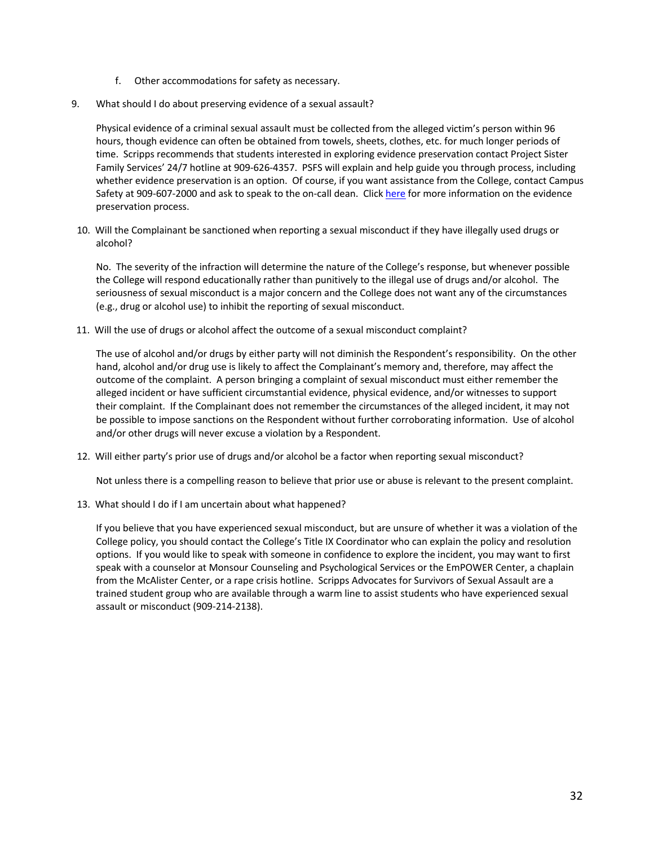- f. Other accommodations for safety as necessary.
- 9. What should I do about preserving evidence of a sexual assault?

Physical evidence of a criminal sexual assault must be collected from the alleged victim's person within 96 hours, though evidence can often be obtained from towels, sheets, clothes, etc. for much longer periods of time. Scripps recommends that students interested in exploring evidence preservation contact Project Sister Family Services' 24/7 hotline at 909-626-4357. PSFS will explain and help guide you through process, including whether evidence preservation is an option. Of course, if you want assistance from the College, contact Campus Safety at 909-607-2000 and ask to speak to the on-call dean. Click here for more information on the evidence preservation process.

10. Will the Complainant be sanctioned when reporting a sexual misconduct if they have illegally used drugs or alcohol?

No. The severity of the infraction will determine the nature of the College's response, but whenever possible the College will respond educationally rather than punitively to the illegal use of drugs and/or alcohol. The seriousness of sexual misconduct is a major concern and the College does not want any of the circumstances (e.g., drug or alcohol use) to inhibit the reporting of sexual misconduct.

11. Will the use of drugs or alcohol affect the outcome of a sexual misconduct complaint?

The use of alcohol and/or drugs by either party will not diminish the Respondent's responsibility. On the other hand, alcohol and/or drug use is likely to affect the Complainant's memory and, therefore, may affect the outcome of the complaint. A person bringing a complaint of sexual misconduct must either remember the alleged incident or have sufficient circumstantial evidence, physical evidence, and/or witnesses to support their complaint. If the Complainant does not remember the circumstances of the alleged incident, it may not be possible to impose sanctions on the Respondent without further corroborating information. Use of alcohol and/or other drugs will never excuse a violation by a Respondent.

12. Will either party's prior use of drugs and/or alcohol be a factor when reporting sexual misconduct?

Not unless there is a compelling reason to believe that prior use or abuse is relevant to the present complaint.

13. What should I do if I am uncertain about what happened?

If you believe that you have experienced sexual misconduct, but are unsure of whether it was a violation of the College policy, you should contact the College's Title IX Coordinator who can explain the policy and resolution options. If you would like to speak with someone in confidence to explore the incident, you may want to first speak with a counselor at Monsour Counseling and Psychological Services or the EmPOWER Center, a chaplain from the McAlister Center, or a rape crisis hotline. Scripps Advocates for Survivors of Sexual Assault are a trained student group who are available through a warm line to assist students who have experienced sexual assault or misconduct (909-214-2138).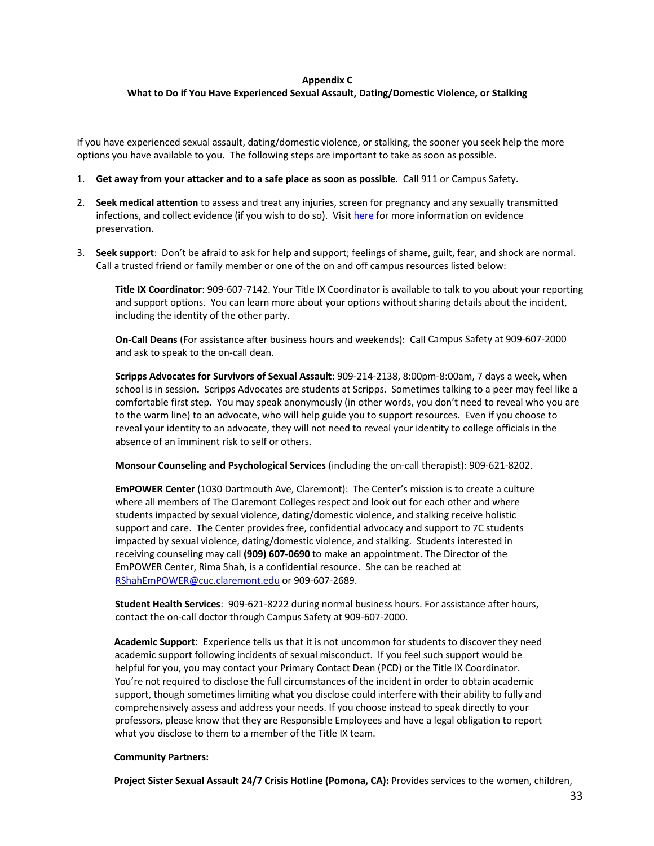#### **Appendix C**

# **What to Do if You Have Experienced Sexual Assault, Dating/Domestic Violence, or Stalking**

If you have experienced sexual assault, dating/domestic violence, or stalking, the sooner you seek help the more options you have available to you. The following steps are important to take as soon as possible.

- 1. **Get away from your attacker and to a safe place as soon as possible**. Call 911 or Campus Safety.
- 2. **Seek medical attention** to assess and treat any injuries, screen for pregnancy and any sexually transmitted infections, and collect evidence (if you wish to do so). Visit here for more information on evidence preservation.
- 3. **Seek support**: Don't be afraid to ask for help and support; feelings of shame, guilt, fear, and shock are normal. Call a trusted friend or family member or one of the on and off campus resources listed below:

**Title IX Coordinator**: 909-607-7142. Your Title IX Coordinator is available to talk to you about your reporting and support options. You can learn more about your options without sharing details about the incident, including the identity of the other party.

**On-Call Deans** (For assistance after business hours and weekends): Call Campus Safety at 909-607-2000 and ask to speak to the on-call dean.

**Scripps Advocates for Survivors of Sexual Assault**: 909-214-2138, 8:00pm-8:00am, 7 days a week, when school is in session**.** Scripps Advocates are students at Scripps. Sometimes talking to a peer may feel like a comfortable first step. You may speak anonymously (in other words, you don't need to reveal who you are to the warm line) to an advocate, who will help guide you to support resources. Even if you choose to reveal your identity to an advocate, they will not need to reveal your identity to college officials in the absence of an imminent risk to self or others.

**Monsour Counseling and Psychological Services** (including the on-call therapist): 909-621-8202.

**EmPOWER Center** (1030 Dartmouth Ave, Claremont): The Center's mission is to create a culture where all members of The Claremont Colleges respect and look out for each other and where students impacted by sexual violence, dating/domestic violence, and stalking receive holistic support and care. The Center provides free, confidential advocacy and support to 7C students impacted by sexual violence, dating/domestic violence, and stalking. Students interested in receiving counseling may call **(909) 607-0690** to make an appointment. The Director of the EmPOWER Center, Rima Shah, is a confidential resource. She can be reached at RShahEmPOWER@cuc.claremont.edu or 909-607-2689.

**Student Health Services**: 909-621-8222 during normal business hours. For assistance after hours, contact the on-call doctor through Campus Safety at 909-607-2000.

**Academic Support**: Experience tells us that it is not uncommon for students to discover they need academic support following incidents of sexual misconduct. If you feel such support would be helpful for you, you may contact your Primary Contact Dean (PCD) or the Title IX Coordinator. You're not required to disclose the full circumstances of the incident in order to obtain academic support, though sometimes limiting what you disclose could interfere with their ability to fully and comprehensively assess and address your needs. If you choose instead to speak directly to your professors, please know that they are Responsible Employees and have a legal obligation to report what you disclose to them to a member of the Title IX team.

# **Community Partners:**

**Project Sister Sexual Assault 24/7 Crisis Hotline (Pomona, CA):** Provides services to the women, children,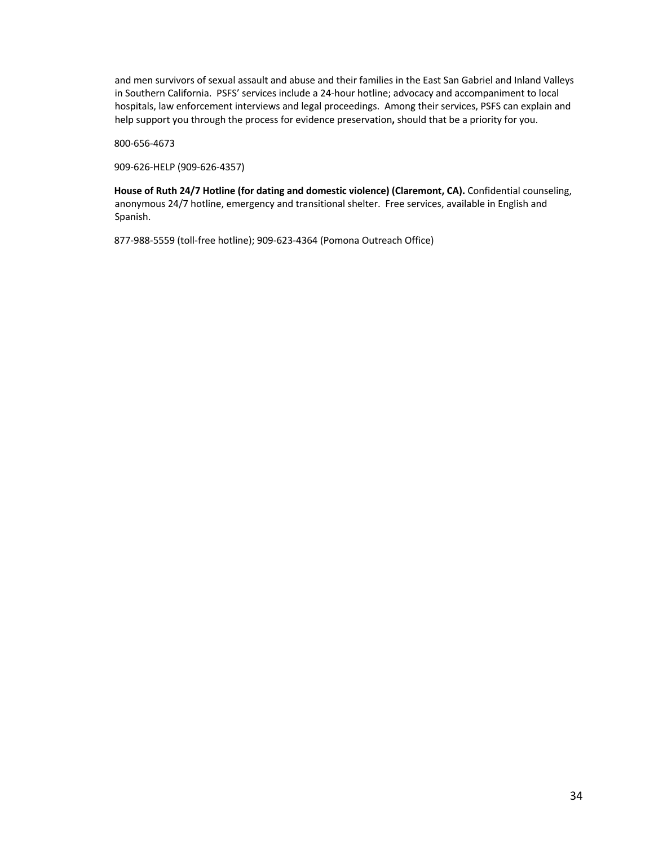and men survivors of sexual assault and abuse and their families in the East San Gabriel and Inland Valleys in Southern California. PSFS' services include a 24-hour hotline; advocacy and accompaniment to local hospitals, law enforcement interviews and legal proceedings. Among their services, PSFS can explain and help support you through the process for evidence preservation**,** should that be a priority for you.

800-656-4673

909-626-HELP (909-626-4357)

**House of Ruth 24/7 Hotline (for dating and domestic violence) (Claremont, CA).** Confidential counseling, anonymous 24/7 hotline, emergency and transitional shelter. Free services, available in English and Spanish.

877-988-5559 (toll-free hotline); 909-623-4364 (Pomona Outreach Office)